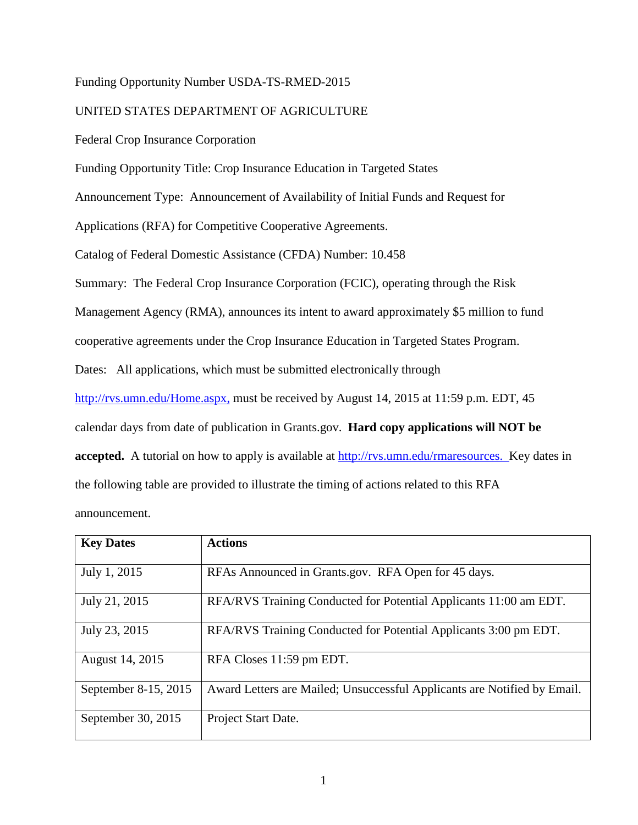# Funding Opportunity Number USDA-TS-RMED-2015

# UNITED STATES DEPARTMENT OF AGRICULTURE

Federal Crop Insurance Corporation

Funding Opportunity Title: Crop Insurance Education in Targeted States

Announcement Type:Announcement of Availability of Initial Funds and Request for

Applications (RFA) for Competitive Cooperative Agreements.

Catalog of Federal Domestic Assistance (CFDA) Number: 10.458

Summary: The Federal Crop Insurance Corporation (FCIC), operating through the Risk

Management Agency (RMA), announces its intent to award approximately \$5 million to fund

cooperative agreements under the Crop Insurance Education in Targeted States Program.

Dates:All applications, which must be submitted electronically through

[http://rvs.umn.edu/Home.aspx,](http://www.rma.agrisk.umn.edu/) must be received by August 14, 2015 at 11:59 p.m. EDT, 45

calendar days from date of publication in Grants.gov.**Hard copy applications will NOT be** 

**accepted.** A tutorial on how to apply is available at [http://rvs.umn.edu/rmaresources.](http://rvs.umn.edu/rmaresources) Key dates in

the following table are provided to illustrate the timing of actions related to this RFA

announcement.

| <b>Key Dates</b>     | <b>Actions</b>                                                           |
|----------------------|--------------------------------------------------------------------------|
| July 1, 2015         | RFAs Announced in Grants.gov. RFA Open for 45 days.                      |
| July 21, 2015        | RFA/RVS Training Conducted for Potential Applicants 11:00 am EDT.        |
| July 23, 2015        | RFA/RVS Training Conducted for Potential Applicants 3:00 pm EDT.         |
| August 14, 2015      | RFA Closes 11:59 pm EDT.                                                 |
| September 8-15, 2015 | Award Letters are Mailed; Unsuccessful Applicants are Notified by Email. |
| September 30, 2015   | Project Start Date.                                                      |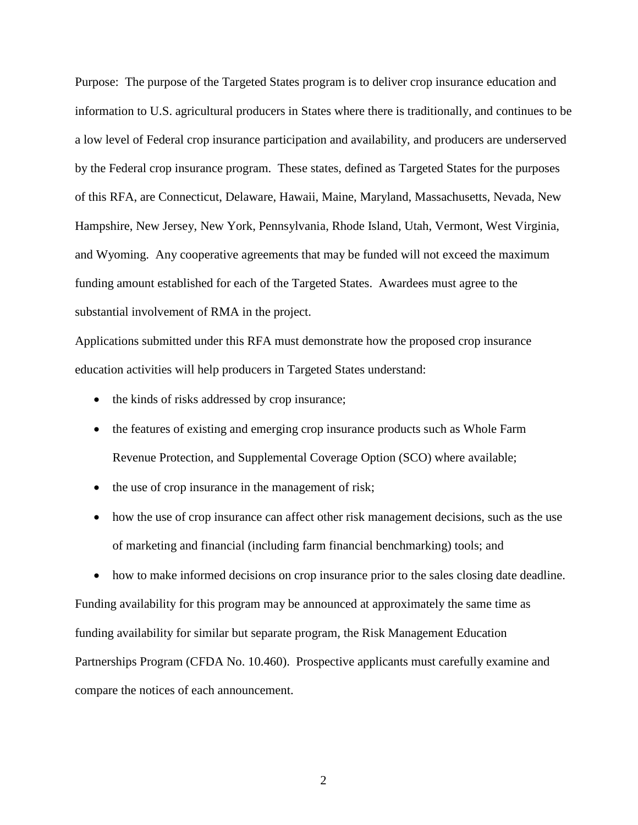Purpose:The purpose of the Targeted States program is to deliver crop insurance education and information to U.S. agricultural producers in States where there is traditionally, and continues to be a low level of Federal crop insurance participation and availability, and producers are underserved by the Federal crop insurance program. These states, defined as Targeted States for the purposes of this RFA, are Connecticut, Delaware, Hawaii, Maine, Maryland, Massachusetts, Nevada, New Hampshire, New Jersey, New York, Pennsylvania, Rhode Island, Utah, Vermont, West Virginia, and Wyoming. Any cooperative agreements that may be funded will not exceed the maximum funding amount established for each of the Targeted States. Awardees must agree to the substantial involvement of RMA in the project.

Applications submitted under this RFA must demonstrate how the proposed crop insurance education activities will help producers in Targeted States understand:

- the kinds of risks addressed by crop insurance;
- the features of existing and emerging crop insurance products such as Whole Farm Revenue Protection, and Supplemental Coverage Option (SCO) where available;
- the use of crop insurance in the management of risk;
- how the use of crop insurance can affect other risk management decisions, such as the use of marketing and financial (including farm financial benchmarking) tools; and

• how to make informed decisions on crop insurance prior to the sales closing date deadline. Funding availability for this program may be announced at approximately the same time as funding availability for similar but separate program, the Risk Management Education Partnerships Program (CFDA No. 10.460). Prospective applicants must carefully examine and compare the notices of each announcement.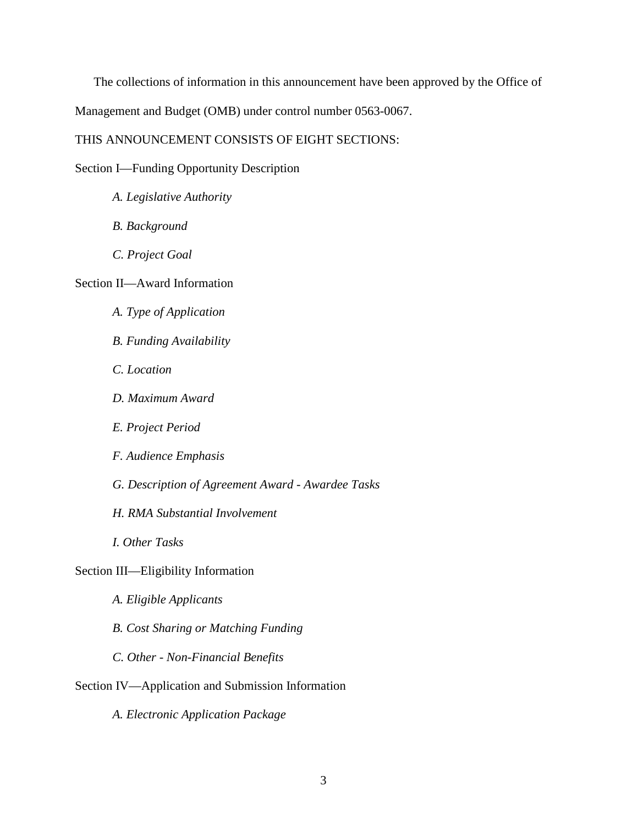The collections of information in this announcement have been approved by the Office of

Management and Budget (OMB) under control number 0563-0067.

# THIS ANNOUNCEMENT CONSISTS OF EIGHT SECTIONS:

Section I—Funding Opportunity Description

- *A. Legislative Authority*
- *B. Background*
- *C. Project Goal*

# Section II—Award Information

- *A. Type of Application*
- *B. Funding Availability*
- *C. Location*
- *D. Maximum Award*
- *E. Project Period*
- *F. Audience Emphasis*
- *G. Description of Agreement Award - Awardee Tasks*
- *H. RMA Substantial Involvement*
- *I. Other Tasks*
- Section III—Eligibility Information
	- *A. Eligible Applicants*
	- *B. Cost Sharing or Matching Funding*
	- *C. Other - Non-Financial Benefits*
- Section IV—Application and Submission Information
	- *A. Electronic Application Package*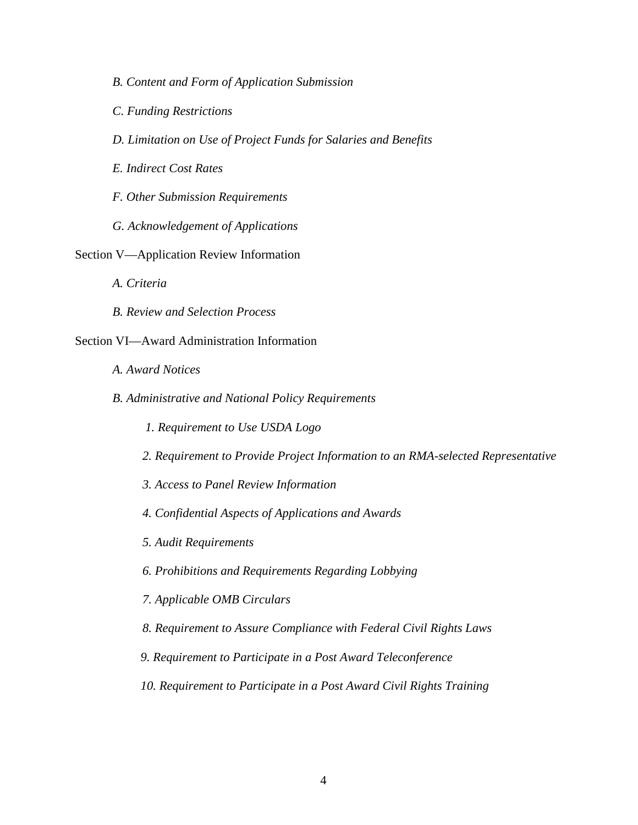- *B. Content and Form of Application Submission*
- *C. Funding Restrictions*
- *D. Limitation on Use of Project Funds for Salaries and Benefits*
- *E. Indirect Cost Rates*
- *F. Other Submission Requirements*
- *G. Acknowledgement of Applications*
- Section V—Application Review Information
	- *A. Criteria*
	- *B. Review and Selection Process*

# Section VI—Award Administration Information

- *A. Award Notices*
- *B. Administrative and National Policy Requirements*
	- *1. Requirement to Use USDA Logo*
	- *2. Requirement to Provide Project Information to an RMA-selected Representative*
	- *3. Access to Panel Review Information*
	- *4. Confidential Aspects of Applications and Awards*
	- *5. Audit Requirements*
	- *6. Prohibitions and Requirements Regarding Lobbying*
	- *7. Applicable OMB Circulars*
	- *8. Requirement to Assure Compliance with Federal Civil Rights Laws*
	- *9. Requirement to Participate in a Post Award Teleconference*
	- *10. Requirement to Participate in a Post Award Civil Rights Training*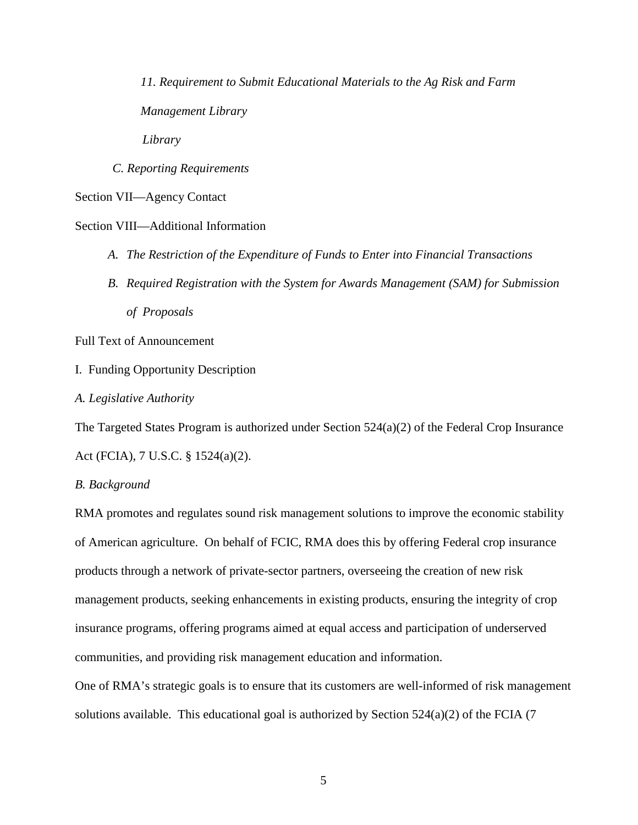*11. Requirement to Submit Educational Materials to the Ag Risk and Farm Management Library Library*

*C. Reporting Requirements*

Section VII—Agency Contact

Section VIII—Additional Information

- *A. The Restriction of the Expenditure of Funds to Enter into Financial Transactions*
- *B. Required Registration with the System for Awards Management (SAM) for Submission of Proposals*

Full Text of Announcement

I. Funding Opportunity Description

*A. Legislative Authority*

The Targeted States Program is authorized under Section 524(a)(2) of the Federal Crop Insurance Act (FCIA), 7 U.S.C. § 1524(a)(2).

*B. Background*

RMA promotes and regulates sound risk management solutions to improve the economic stability of American agriculture. On behalf of FCIC, RMA does this by offering Federal crop insurance products through a network of private-sector partners, overseeing the creation of new risk management products, seeking enhancements in existing products, ensuring the integrity of crop insurance programs, offering programs aimed at equal access and participation of underserved communities, and providing risk management education and information.

One of RMA's strategic goals is to ensure that its customers are well-informed of risk management solutions available. This educational goal is authorized by Section  $524(a)(2)$  of the FCIA (7)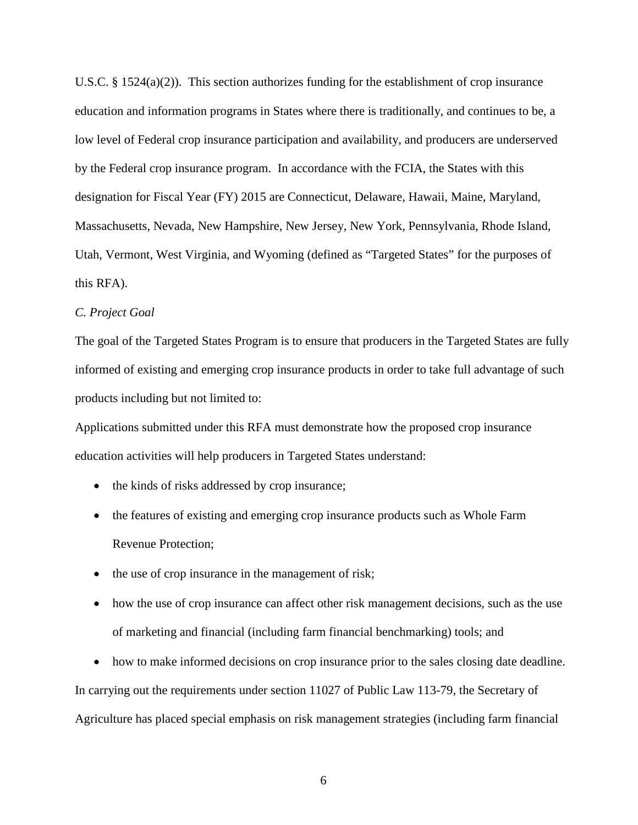U.S.C. § 1524(a)(2)). This section authorizes funding for the establishment of crop insurance education and information programs in States where there is traditionally, and continues to be, a low level of Federal crop insurance participation and availability, and producers are underserved by the Federal crop insurance program. In accordance with the FCIA, the States with this designation for Fiscal Year (FY) 2015 are Connecticut, Delaware, Hawaii, Maine, Maryland, Massachusetts, Nevada, New Hampshire, New Jersey, New York, Pennsylvania, Rhode Island, Utah, Vermont, West Virginia, and Wyoming (defined as "Targeted States" for the purposes of this RFA).

# *C. Project Goal*

The goal of the Targeted States Program is to ensure that producers in the Targeted States are fully informed of existing and emerging crop insurance products in order to take full advantage of such products including but not limited to:

Applications submitted under this RFA must demonstrate how the proposed crop insurance education activities will help producers in Targeted States understand:

- the kinds of risks addressed by crop insurance;
- the features of existing and emerging crop insurance products such as Whole Farm Revenue Protection;
- the use of crop insurance in the management of risk;
- how the use of crop insurance can affect other risk management decisions, such as the use of marketing and financial (including farm financial benchmarking) tools; and

• how to make informed decisions on crop insurance prior to the sales closing date deadline. In carrying out the requirements under section 11027 of Public Law 113-79, the Secretary of Agriculture has placed special emphasis on risk management strategies (including farm financial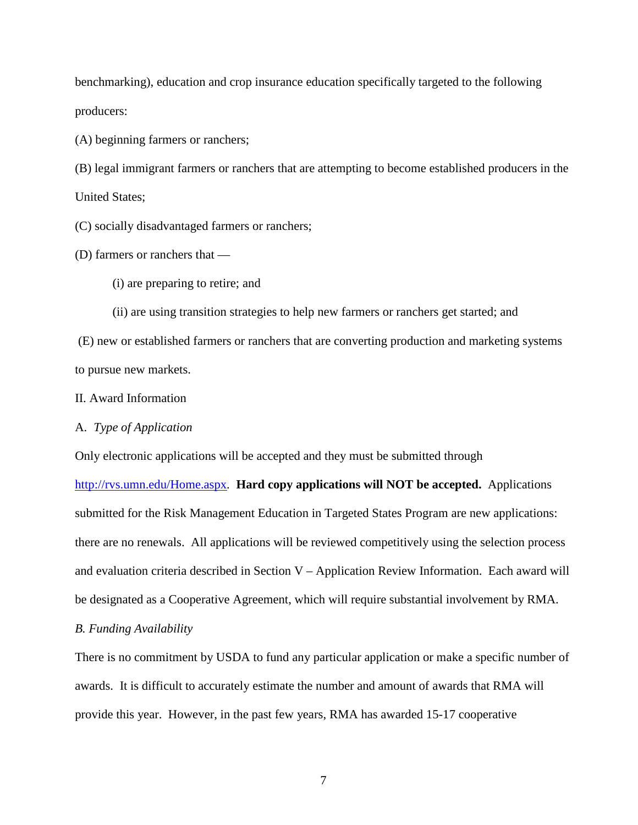benchmarking), education and crop insurance education specifically targeted to the following producers:

(A) beginning farmers or ranchers;

(B) legal immigrant farmers or ranchers that are attempting to become established producers in the United States;

(C) socially disadvantaged farmers or ranchers;

(D) farmers or ranchers that —

(i) are preparing to retire; and

(ii) are using transition strategies to help new farmers or ranchers get started; and

(E) new or established farmers or ranchers that are converting production and marketing systems to pursue new markets.

## II. Award Information

## A. *Type of Application*

Only electronic applications will be accepted and they must be submitted through

[http://rvs.umn.edu/Home.aspx](mailto:rma.agriskumn.edu)*.* **Hard copy applications will NOT be accepted.** Applications submitted for the Risk Management Education in Targeted States Program are new applications: there are no renewals. All applications will be reviewed competitively using the selection process and evaluation criteria described in Section V – Application Review Information. Each award will be designated as a Cooperative Agreement, which will require substantial involvement by RMA.

# *B. Funding Availability*

There is no commitment by USDA to fund any particular application or make a specific number of awards. It is difficult to accurately estimate the number and amount of awards that RMA will provide this year. However, in the past few years, RMA has awarded 15-17 cooperative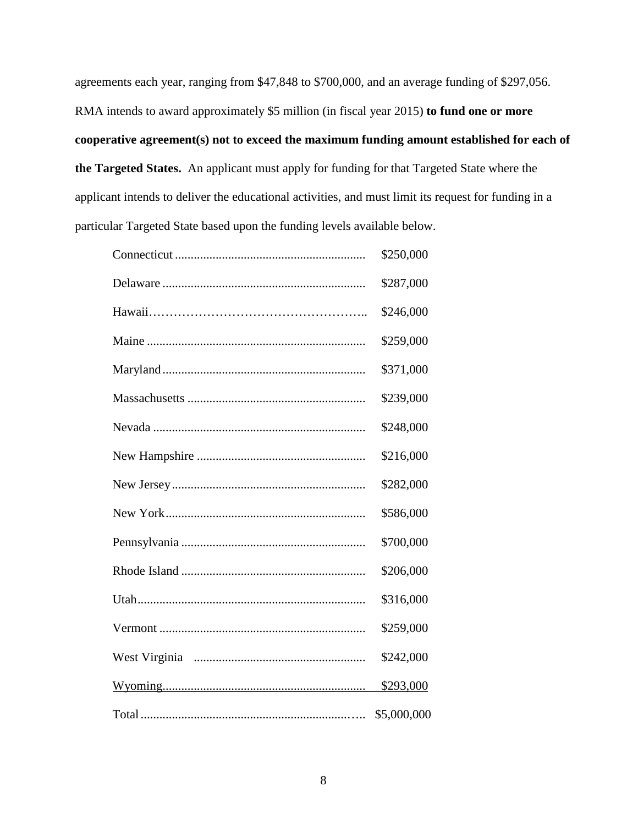agreements each year, ranging from \$47,848 to \$700,000, and an average funding of \$297,056. RMA intends to award approximately \$5 million (in fiscal year 2015) **to fund one or more cooperative agreement(s) not to exceed the maximum funding amount established for each of the Targeted States.** An applicant must apply for funding for that Targeted State where the applicant intends to deliver the educational activities, and must limit its request for funding in a particular Targeted State based upon the funding levels available below.

| \$250,000   |
|-------------|
| \$287,000   |
| \$246,000   |
| \$259,000   |
| \$371,000   |
| \$239,000   |
| \$248,000   |
| \$216,000   |
| \$282,000   |
| \$586,000   |
| \$700,000   |
| \$206,000   |
| \$316,000   |
| \$259,000   |
| \$242,000   |
| \$293,000   |
| \$5,000,000 |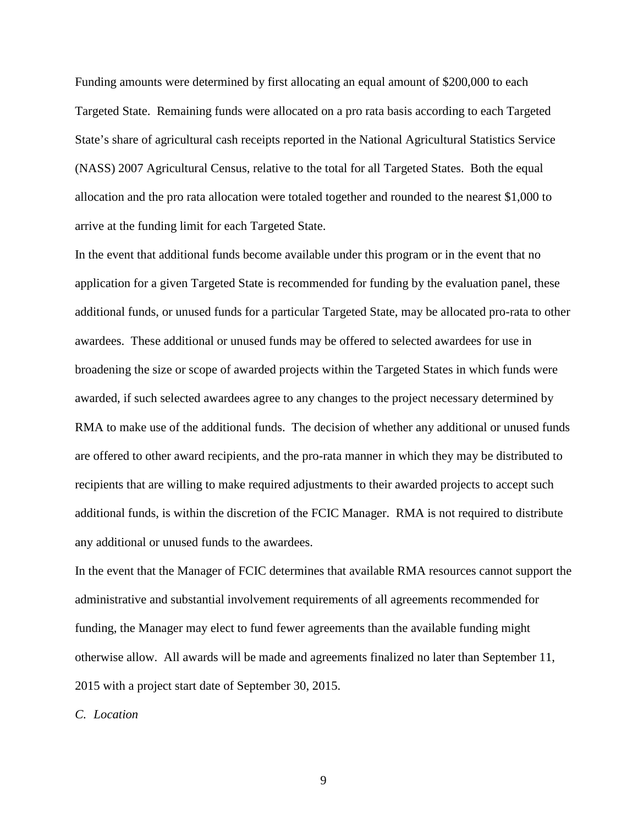Funding amounts were determined by first allocating an equal amount of \$200,000 to each Targeted State. Remaining funds were allocated on a pro rata basis according to each Targeted State's share of agricultural cash receipts reported in the National Agricultural Statistics Service (NASS) 2007 Agricultural Census, relative to the total for all Targeted States. Both the equal allocation and the pro rata allocation were totaled together and rounded to the nearest \$1,000 to arrive at the funding limit for each Targeted State.

In the event that additional funds become available under this program or in the event that no application for a given Targeted State is recommended for funding by the evaluation panel, these additional funds, or unused funds for a particular Targeted State, may be allocated pro-rata to other awardees. These additional or unused funds may be offered to selected awardees for use in broadening the size or scope of awarded projects within the Targeted States in which funds were awarded, if such selected awardees agree to any changes to the project necessary determined by RMA to make use of the additional funds. The decision of whether any additional or unused funds are offered to other award recipients, and the pro-rata manner in which they may be distributed to recipients that are willing to make required adjustments to their awarded projects to accept such additional funds, is within the discretion of the FCIC Manager. RMA is not required to distribute any additional or unused funds to the awardees.

In the event that the Manager of FCIC determines that available RMA resources cannot support the administrative and substantial involvement requirements of all agreements recommended for funding, the Manager may elect to fund fewer agreements than the available funding might otherwise allow. All awards will be made and agreements finalized no later than September 11, 2015 with a project start date of September 30, 2015.

*C. Location*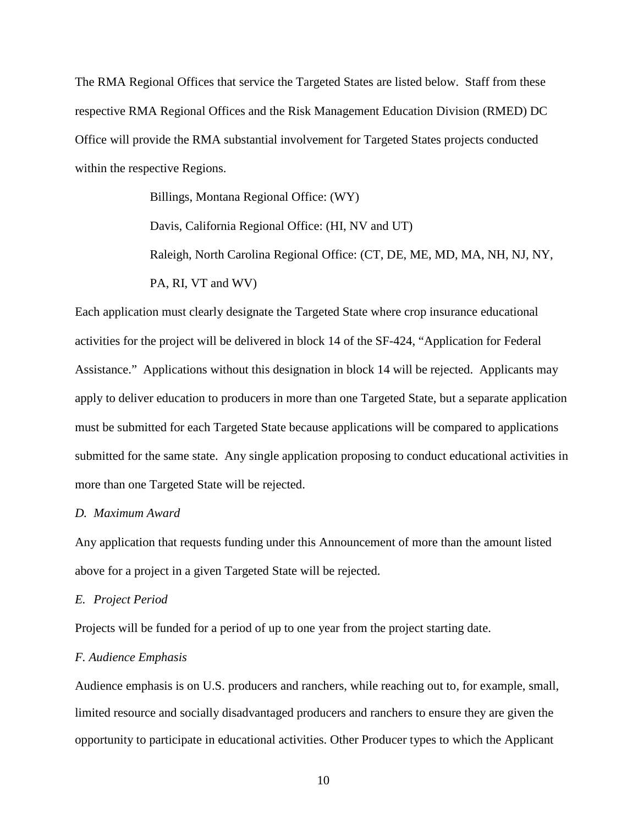The RMA Regional Offices that service the Targeted States are listed below. Staff from these respective RMA Regional Offices and the Risk Management Education Division (RMED) DC Office will provide the RMA substantial involvement for Targeted States projects conducted within the respective Regions.

> Billings, Montana Regional Office: (WY) Davis, California Regional Office: (HI, NV and UT)

Raleigh, North Carolina Regional Office: (CT, DE, ME, MD, MA, NH, NJ, NY, PA, RI, VT and WV)

Each application must clearly designate the Targeted State where crop insurance educational activities for the project will be delivered in block 14 of the SF-424, "Application for Federal Assistance." Applications without this designation in block 14 will be rejected. Applicants may apply to deliver education to producers in more than one Targeted State, but a separate application must be submitted for each Targeted State because applications will be compared to applications submitted for the same state. Any single application proposing to conduct educational activities in more than one Targeted State will be rejected.

# *D. Maximum Award*

Any application that requests funding under this Announcement of more than the amount listed above for a project in a given Targeted State will be rejected.

### *E. Project Period*

Projects will be funded for a period of up to one year from the project starting date.

## *F. Audience Emphasis*

Audience emphasis is on U.S. producers and ranchers, while reaching out to, for example, small, limited resource and socially disadvantaged producers and ranchers to ensure they are given the opportunity to participate in educational activities. Other Producer types to which the Applicant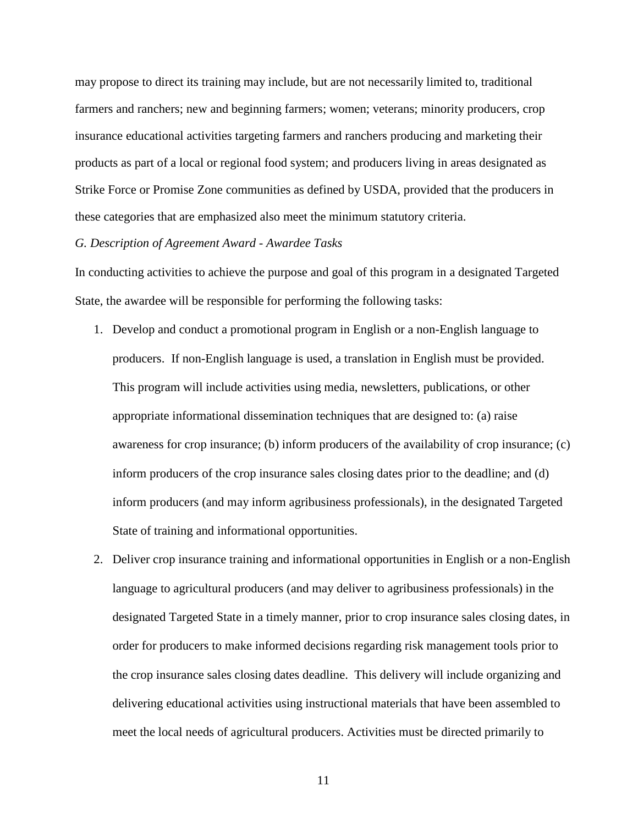may propose to direct its training may include, but are not necessarily limited to, traditional farmers and ranchers; new and beginning farmers; women; veterans; minority producers, crop insurance educational activities targeting farmers and ranchers producing and marketing their products as part of a local or regional food system; and producers living in areas designated as Strike Force or Promise Zone communities as defined by USDA, provided that the producers in these categories that are emphasized also meet the minimum statutory criteria.

### *G. Description of Agreement Award - Awardee Tasks*

In conducting activities to achieve the purpose and goal of this program in a designated Targeted State, the awardee will be responsible for performing the following tasks:

- 1. Develop and conduct a promotional program in English or a non-English language to producers. If non-English language is used, a translation in English must be provided. This program will include activities using media, newsletters, publications, or other appropriate informational dissemination techniques that are designed to: (a) raise awareness for crop insurance; (b) inform producers of the availability of crop insurance; (c) inform producers of the crop insurance sales closing dates prior to the deadline; and (d) inform producers (and may inform agribusiness professionals), in the designated Targeted State of training and informational opportunities.
- 2. Deliver crop insurance training and informational opportunities in English or a non-English language to agricultural producers (and may deliver to agribusiness professionals) in the designated Targeted State in a timely manner, prior to crop insurance sales closing dates, in order for producers to make informed decisions regarding risk management tools prior to the crop insurance sales closing dates deadline. This delivery will include organizing and delivering educational activities using instructional materials that have been assembled to meet the local needs of agricultural producers. Activities must be directed primarily to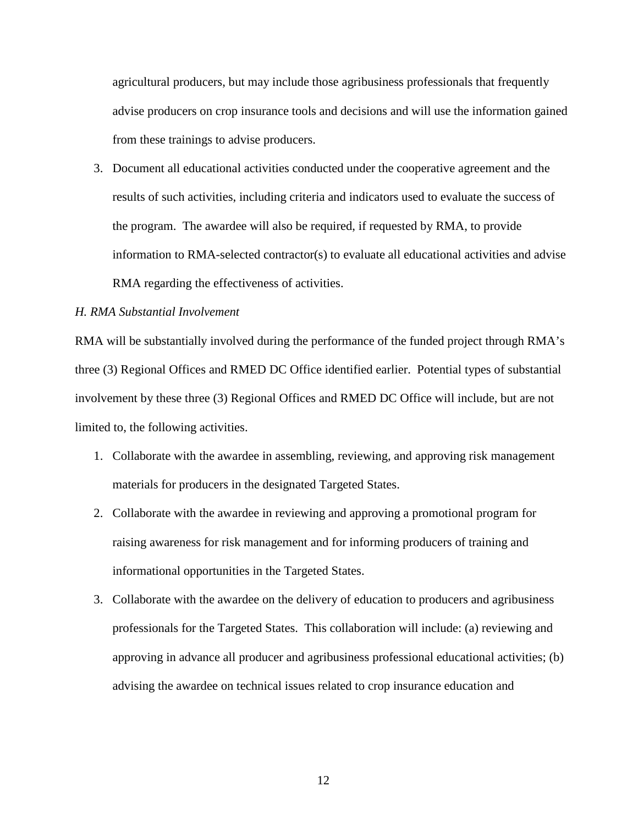agricultural producers, but may include those agribusiness professionals that frequently advise producers on crop insurance tools and decisions and will use the information gained from these trainings to advise producers.

3. Document all educational activities conducted under the cooperative agreement and the results of such activities, including criteria and indicators used to evaluate the success of the program. The awardee will also be required, if requested by RMA, to provide information to RMA-selected contractor(s) to evaluate all educational activities and advise RMA regarding the effectiveness of activities.

# *H. RMA Substantial Involvement*

RMA will be substantially involved during the performance of the funded project through RMA's three (3) Regional Offices and RMED DC Office identified earlier. Potential types of substantial involvement by these three (3) Regional Offices and RMED DC Office will include, but are not limited to, the following activities.

- 1. Collaborate with the awardee in assembling, reviewing, and approving risk management materials for producers in the designated Targeted States.
- 2. Collaborate with the awardee in reviewing and approving a promotional program for raising awareness for risk management and for informing producers of training and informational opportunities in the Targeted States.
- 3. Collaborate with the awardee on the delivery of education to producers and agribusiness professionals for the Targeted States. This collaboration will include: (a) reviewing and approving in advance all producer and agribusiness professional educational activities; (b) advising the awardee on technical issues related to crop insurance education and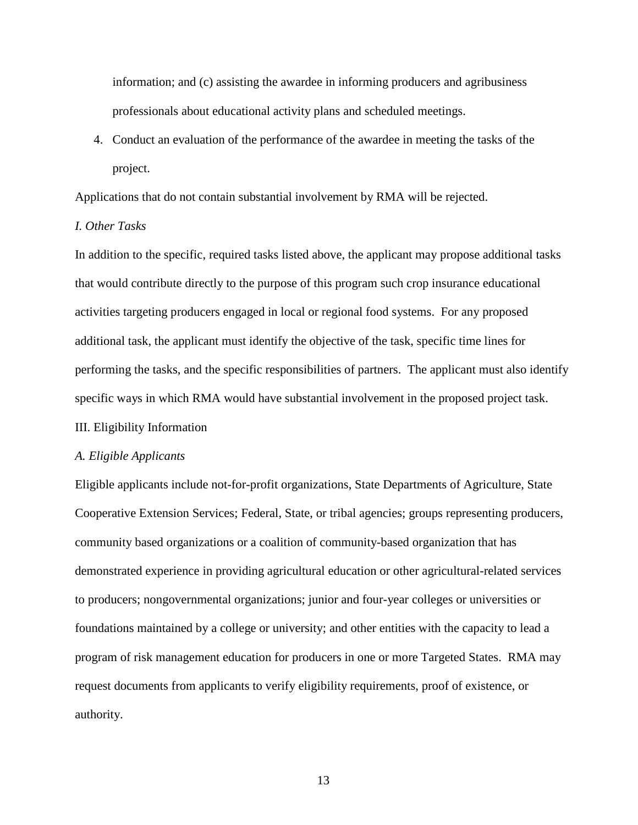information; and (c) assisting the awardee in informing producers and agribusiness professionals about educational activity plans and scheduled meetings.

4. Conduct an evaluation of the performance of the awardee in meeting the tasks of the project.

Applications that do not contain substantial involvement by RMA will be rejected.

# *I. Other Tasks*

In addition to the specific, required tasks listed above, the applicant may propose additional tasks that would contribute directly to the purpose of this program such crop insurance educational activities targeting producers engaged in local or regional food systems. For any proposed additional task, the applicant must identify the objective of the task, specific time lines for performing the tasks, and the specific responsibilities of partners. The applicant must also identify specific ways in which RMA would have substantial involvement in the proposed project task. III. Eligibility Information

#### *A. Eligible Applicants*

Eligible applicants include not-for-profit organizations, State Departments of Agriculture, State Cooperative Extension Services; Federal, State, or tribal agencies; groups representing producers, community based organizations or a coalition of community-based organization that has demonstrated experience in providing agricultural education or other agricultural-related services to producers; nongovernmental organizations; junior and four-year colleges or universities or foundations maintained by a college or university; and other entities with the capacity to lead a program of risk management education for producers in one or more Targeted States. RMA may request documents from applicants to verify eligibility requirements, proof of existence, or authority.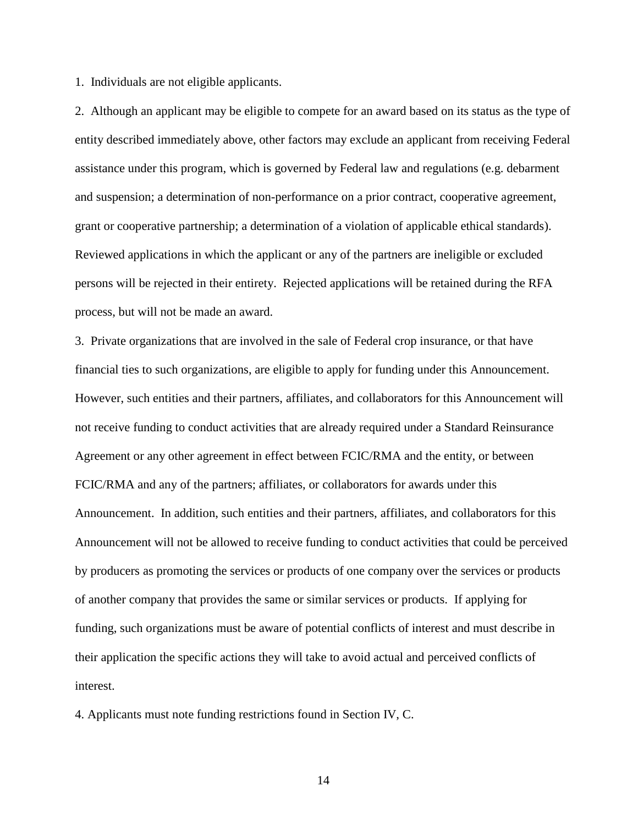1. Individuals are not eligible applicants.

2. Although an applicant may be eligible to compete for an award based on its status as the type of entity described immediately above, other factors may exclude an applicant from receiving Federal assistance under this program, which is governed by Federal law and regulations (e.g. debarment and suspension; a determination of non-performance on a prior contract, cooperative agreement, grant or cooperative partnership; a determination of a violation of applicable ethical standards). Reviewed applications in which the applicant or any of the partners are ineligible or excluded persons will be rejected in their entirety. Rejected applications will be retained during the RFA process, but will not be made an award.

3. Private organizations that are involved in the sale of Federal crop insurance, or that have financial ties to such organizations, are eligible to apply for funding under this Announcement. However, such entities and their partners, affiliates, and collaborators for this Announcement will not receive funding to conduct activities that are already required under a Standard Reinsurance Agreement or any other agreement in effect between FCIC/RMA and the entity, or between FCIC/RMA and any of the partners; affiliates, or collaborators for awards under this Announcement. In addition, such entities and their partners, affiliates, and collaborators for this Announcement will not be allowed to receive funding to conduct activities that could be perceived by producers as promoting the services or products of one company over the services or products of another company that provides the same or similar services or products. If applying for funding, such organizations must be aware of potential conflicts of interest and must describe in their application the specific actions they will take to avoid actual and perceived conflicts of interest.

4. Applicants must note funding restrictions found in Section IV, C.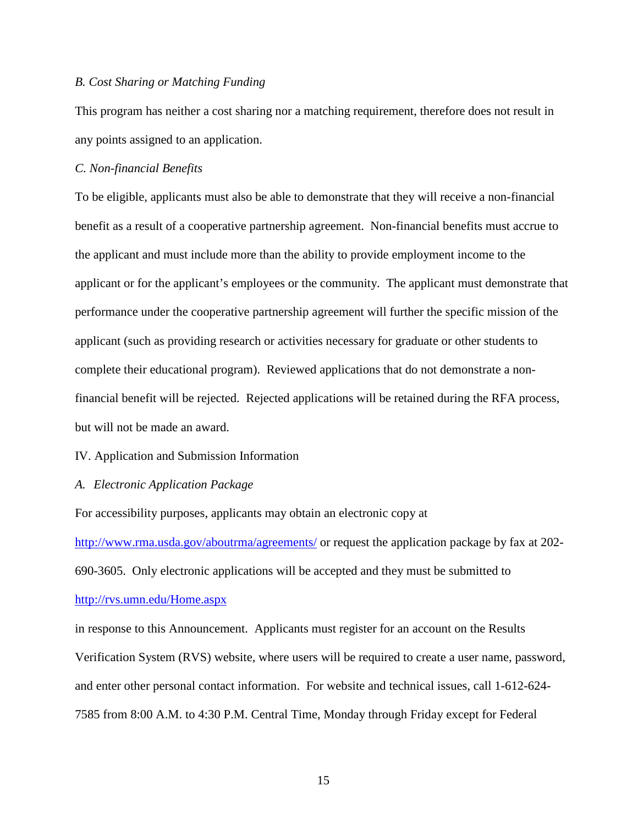## *B. Cost Sharing or Matching Funding*

This program has neither a cost sharing nor a matching requirement, therefore does not result in any points assigned to an application.

## *C. Non-financial Benefits*

To be eligible, applicants must also be able to demonstrate that they will receive a non-financial benefit as a result of a cooperative partnership agreement. Non-financial benefits must accrue to the applicant and must include more than the ability to provide employment income to the applicant or for the applicant's employees or the community. The applicant must demonstrate that performance under the cooperative partnership agreement will further the specific mission of the applicant (such as providing research or activities necessary for graduate or other students to complete their educational program). Reviewed applications that do not demonstrate a nonfinancial benefit will be rejected. Rejected applications will be retained during the RFA process, but will not be made an award.

## IV. Application and Submission Information

## *A. Electronic Application Package*

For accessibility purposes, applicants may obtain an electronic copy at

<http://www.rma.usda.gov/aboutrma/agreements/> or request the application package by fax at 202- 690-3605. Only electronic applications will be accepted and they must be submitted to [http://rvs.umn.edu/Home.aspx](mailto:rma.agriskumn.edu)

in response to this Announcement. Applicants must register for an account on the Results Verification System (RVS) website, where users will be required to create a user name, password, and enter other personal contact information. For website and technical issues, call 1-612-624- 7585 from 8:00 A.M. to 4:30 P.M. Central Time, Monday through Friday except for Federal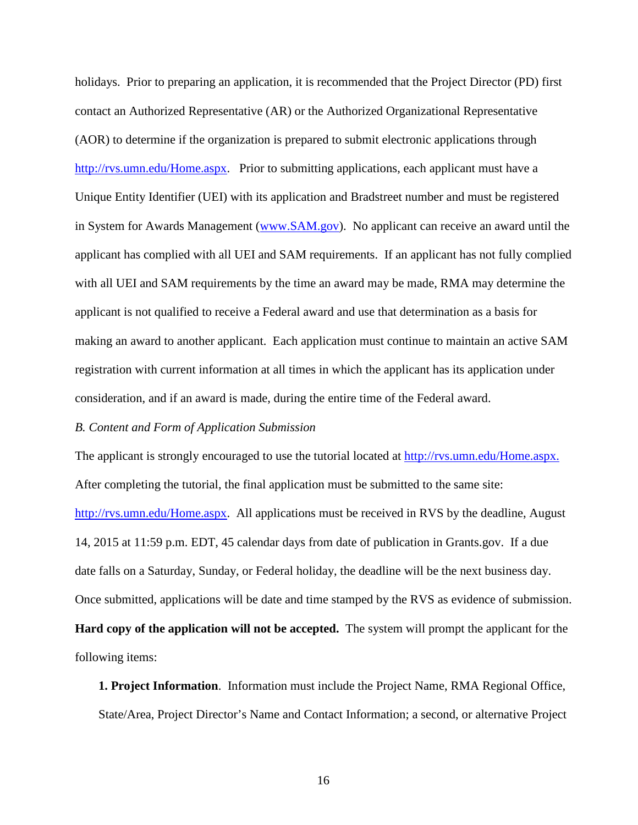holidays. Prior to preparing an application, it is recommended that the Project Director (PD) first contact an Authorized Representative (AR) or the Authorized Organizational Representative (AOR) to determine if the organization is prepared to submit electronic applications through [http://rvs.umn.edu/Home.aspx.](mailto:rma.agrisk.umn.edu) Prior to submitting applications, each applicant must have a Unique Entity Identifier (UEI) with its application and Bradstreet number and must be registered in System for Awards Management [\(www.SAM.gov\)](http://www.sam.gov/). No applicant can receive an award until the applicant has complied with all UEI and SAM requirements. If an applicant has not fully complied with all UEI and SAM requirements by the time an award may be made, RMA may determine the applicant is not qualified to receive a Federal award and use that determination as a basis for making an award to another applicant. Each application must continue to maintain an active SAM registration with current information at all times in which the applicant has its application under consideration, and if an award is made, during the entire time of the Federal award.

## *B. Content and Form of Application Submission*

The applicant is strongly encouraged to use the tutorial located at [http://rvs.umn.edu/Home.aspx.](http://www.rma.agrisk.umn.edu/) After completing the tutorial, the final application must be submitted to the same site: [http://rvs.umn.edu/Home.aspx.](http://www.rma.agrisk.umn.edu/) All applications must be received in RVS by the deadline, August 14, 2015 at 11:59 p.m. EDT, 45 calendar days from date of publication in Grants.gov. If a due date falls on a Saturday, Sunday, or Federal holiday, the deadline will be the next business day. Once submitted, applications will be date and time stamped by the RVS as evidence of submission. **Hard copy of the application will not be accepted.** The system will prompt the applicant for the following items:

**1. Project Information**. Information must include the Project Name, RMA Regional Office, State/Area, Project Director's Name and Contact Information; a second, or alternative Project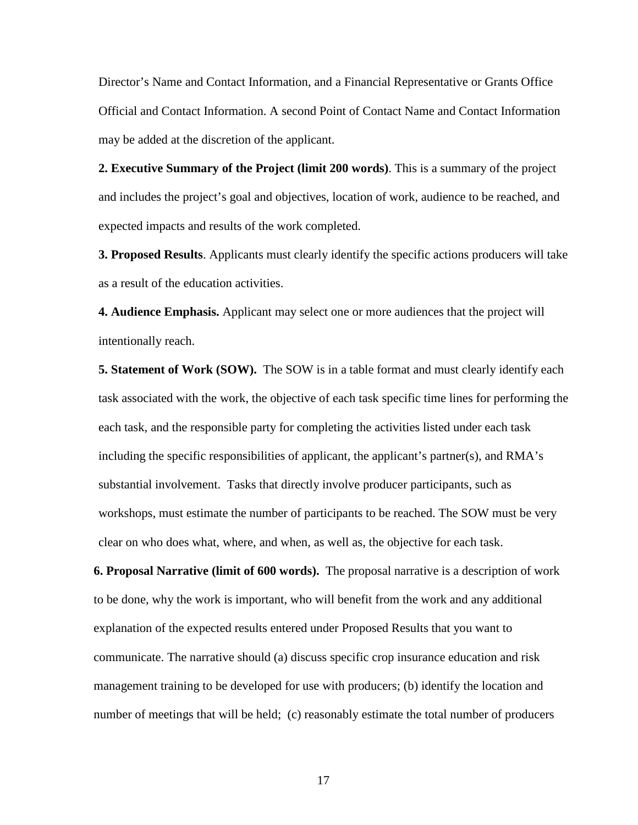Director's Name and Contact Information, and a Financial Representative or Grants Office Official and Contact Information. A second Point of Contact Name and Contact Information may be added at the discretion of the applicant.

**2. Executive Summary of the Project (limit 200 words)**. This is a summary of the project and includes the project's goal and objectives, location of work, audience to be reached, and expected impacts and results of the work completed.

**3. Proposed Results**. Applicants must clearly identify the specific actions producers will take as a result of the education activities.

**4. Audience Emphasis.** Applicant may select one or more audiences that the project will intentionally reach.

**5. Statement of Work (SOW).** The SOW is in a table format and must clearly identify each task associated with the work, the objective of each task specific time lines for performing the each task, and the responsible party for completing the activities listed under each task including the specific responsibilities of applicant, the applicant's partner(s), and RMA's substantial involvement. Tasks that directly involve producer participants, such as workshops, must estimate the number of participants to be reached. The SOW must be very clear on who does what, where, and when, as well as, the objective for each task.

**6. Proposal Narrative (limit of 600 words).** The proposal narrative is a description of work to be done, why the work is important, who will benefit from the work and any additional explanation of the expected results entered under Proposed Results that you want to communicate. The narrative should (a) discuss specific crop insurance education and risk management training to be developed for use with producers; (b) identify the location and number of meetings that will be held; (c) reasonably estimate the total number of producers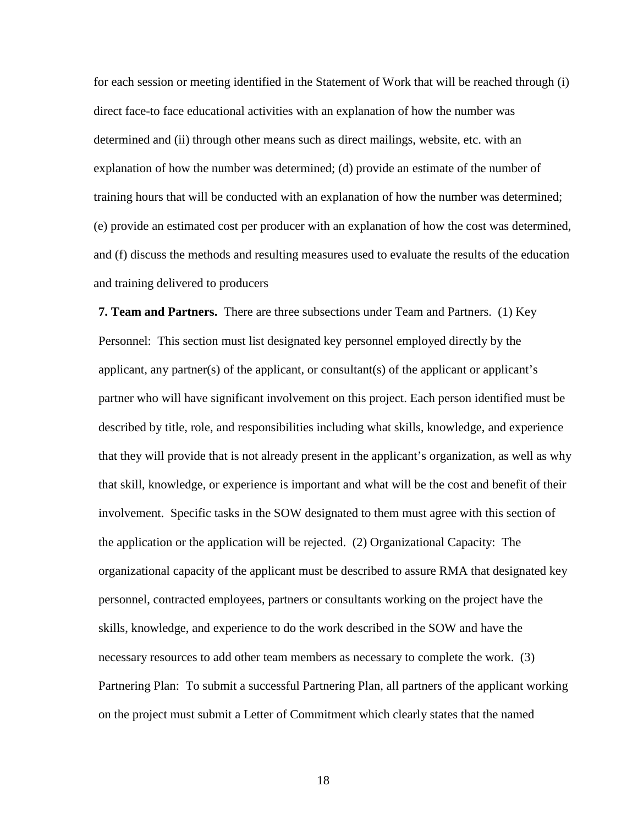for each session or meeting identified in the Statement of Work that will be reached through (i) direct face-to face educational activities with an explanation of how the number was determined and (ii) through other means such as direct mailings, website, etc. with an explanation of how the number was determined; (d) provide an estimate of the number of training hours that will be conducted with an explanation of how the number was determined; (e) provide an estimated cost per producer with an explanation of how the cost was determined, and (f) discuss the methods and resulting measures used to evaluate the results of the education and training delivered to producers

**7. Team and Partners.** There are three subsections under Team and Partners. (1) Key Personnel: This section must list designated key personnel employed directly by the applicant, any partner(s) of the applicant, or consultant(s) of the applicant or applicant's partner who will have significant involvement on this project. Each person identified must be described by title, role, and responsibilities including what skills, knowledge, and experience that they will provide that is not already present in the applicant's organization, as well as why that skill, knowledge, or experience is important and what will be the cost and benefit of their involvement. Specific tasks in the SOW designated to them must agree with this section of the application or the application will be rejected. (2) Organizational Capacity: The organizational capacity of the applicant must be described to assure RMA that designated key personnel, contracted employees, partners or consultants working on the project have the skills, knowledge, and experience to do the work described in the SOW and have the necessary resources to add other team members as necessary to complete the work. (3) Partnering Plan: To submit a successful Partnering Plan, all partners of the applicant working on the project must submit a Letter of Commitment which clearly states that the named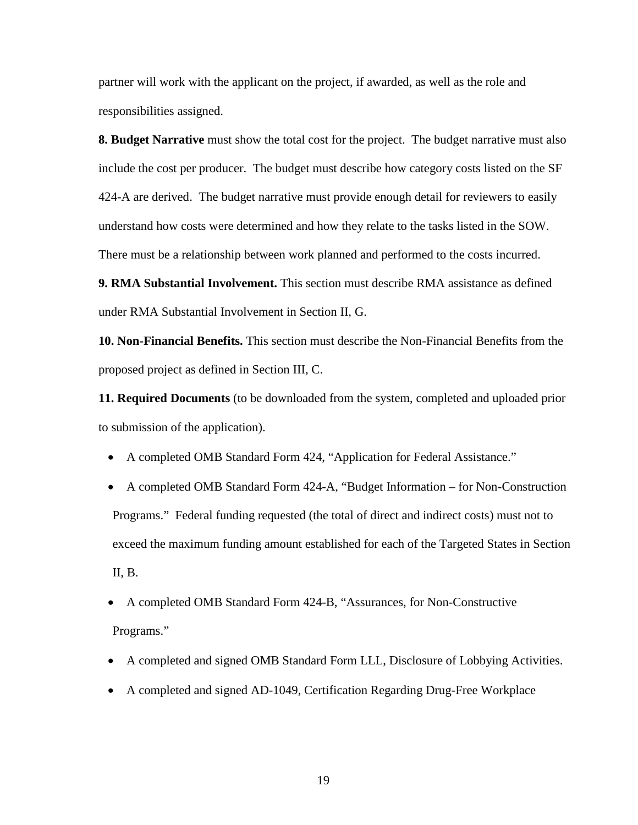partner will work with the applicant on the project, if awarded, as well as the role and responsibilities assigned.

**8. Budget Narrative** must show the total cost for the project. The budget narrative must also include the cost per producer. The budget must describe how category costs listed on the SF 424-A are derived. The budget narrative must provide enough detail for reviewers to easily understand how costs were determined and how they relate to the tasks listed in the SOW. There must be a relationship between work planned and performed to the costs incurred.

**9. RMA Substantial Involvement.** This section must describe RMA assistance as defined under RMA Substantial Involvement in Section II, G.

**10. Non-Financial Benefits.** This section must describe the Non-Financial Benefits from the proposed project as defined in Section III, C.

**11. Required Documents** (to be downloaded from the system, completed and uploaded prior to submission of the application).

• A completed OMB Standard Form 424, "Application for Federal Assistance."

• A completed OMB Standard Form 424-A, "Budget Information – for Non-Construction Programs." Federal funding requested (the total of direct and indirect costs) must not to exceed the maximum funding amount established for each of the Targeted States in Section II, B.

• A completed OMB Standard Form 424-B, "Assurances, for Non-Constructive Programs."

- A completed and signed OMB Standard Form LLL, Disclosure of Lobbying Activities.
- A completed and signed AD-1049, Certification Regarding Drug-Free Workplace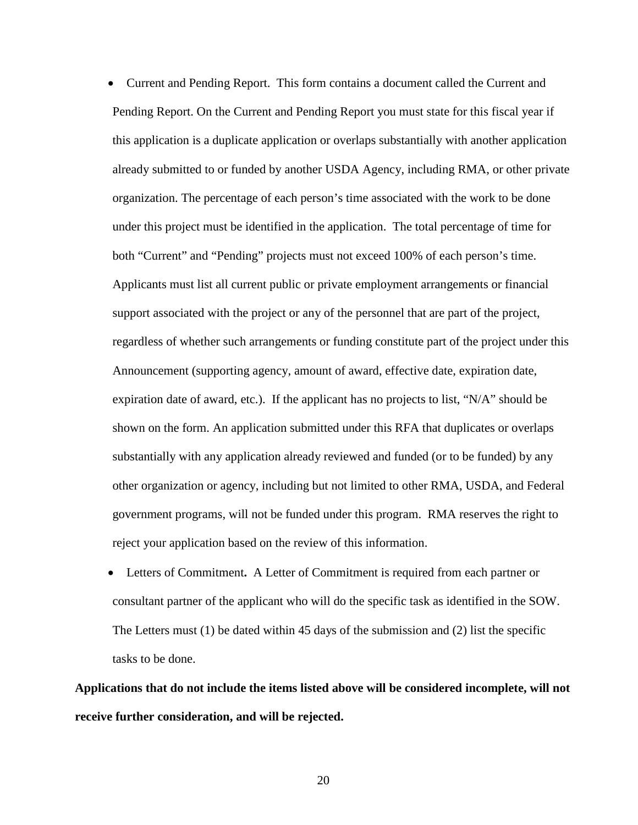• Current and Pending Report. This form contains a document called the Current and Pending Report. On the Current and Pending Report you must state for this fiscal year if this application is a duplicate application or overlaps substantially with another application already submitted to or funded by another USDA Agency, including RMA, or other private organization. The percentage of each person's time associated with the work to be done under this project must be identified in the application. The total percentage of time for both "Current" and "Pending" projects must not exceed 100% of each person's time. Applicants must list all current public or private employment arrangements or financial support associated with the project or any of the personnel that are part of the project, regardless of whether such arrangements or funding constitute part of the project under this Announcement (supporting agency, amount of award, effective date, expiration date, expiration date of award, etc.). If the applicant has no projects to list, " $N/A$ " should be shown on the form. An application submitted under this RFA that duplicates or overlaps substantially with any application already reviewed and funded (or to be funded) by any other organization or agency, including but not limited to other RMA, USDA, and Federal government programs, will not be funded under this program. RMA reserves the right to reject your application based on the review of this information.

• Letters of Commitment**.** A Letter of Commitment is required from each partner or consultant partner of the applicant who will do the specific task as identified in the SOW. The Letters must (1) be dated within 45 days of the submission and (2) list the specific tasks to be done.

**Applications that do not include the items listed above will be considered incomplete, will not receive further consideration, and will be rejected.**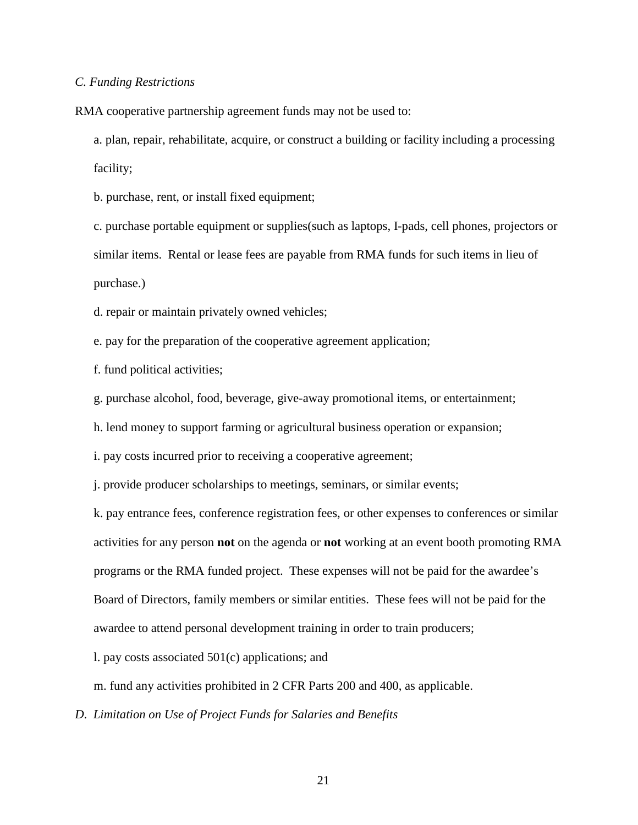## *C. Funding Restrictions*

RMA cooperative partnership agreement funds may not be used to:

a. plan, repair, rehabilitate, acquire, or construct a building or facility including a processing facility;

b. purchase, rent, or install fixed equipment;

c. purchase portable equipment or supplies(such as laptops, I-pads, cell phones, projectors or similar items. Rental or lease fees are payable from RMA funds for such items in lieu of purchase.)

d. repair or maintain privately owned vehicles;

e. pay for the preparation of the cooperative agreement application;

f. fund political activities;

g. purchase alcohol, food, beverage, give-away promotional items, or entertainment;

h. lend money to support farming or agricultural business operation or expansion;

i. pay costs incurred prior to receiving a cooperative agreement;

j. provide producer scholarships to meetings, seminars, or similar events;

k. pay entrance fees, conference registration fees, or other expenses to conferences or similar activities for any person **not** on the agenda or **not** working at an event booth promoting RMA programs or the RMA funded project. These expenses will not be paid for the awardee's Board of Directors, family members or similar entities. These fees will not be paid for the awardee to attend personal development training in order to train producers;

l. pay costs associated 501(c) applications; and

m. fund any activities prohibited in 2 CFR Parts 200 and 400, as applicable.

*D*. *Limitation on Use of Project Funds for Salaries and Benefits*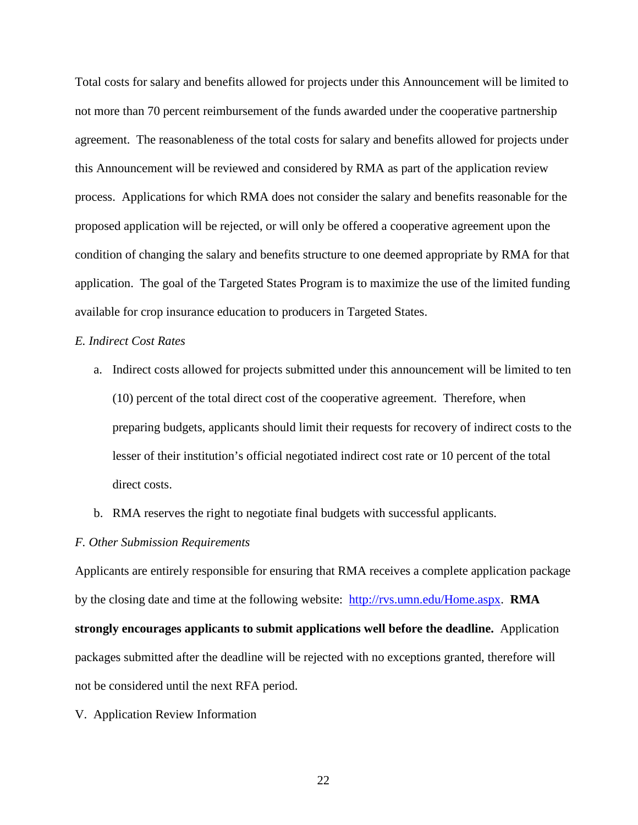Total costs for salary and benefits allowed for projects under this Announcement will be limited to not more than 70 percent reimbursement of the funds awarded under the cooperative partnership agreement. The reasonableness of the total costs for salary and benefits allowed for projects under this Announcement will be reviewed and considered by RMA as part of the application review process. Applications for which RMA does not consider the salary and benefits reasonable for the proposed application will be rejected, or will only be offered a cooperative agreement upon the condition of changing the salary and benefits structure to one deemed appropriate by RMA for that application. The goal of the Targeted States Program is to maximize the use of the limited funding available for crop insurance education to producers in Targeted States.

# *E. Indirect Cost Rates*

- a. Indirect costs allowed for projects submitted under this announcement will be limited to ten (10) percent of the total direct cost of the cooperative agreement. Therefore, when preparing budgets, applicants should limit their requests for recovery of indirect costs to the lesser of their institution's official negotiated indirect cost rate or 10 percent of the total direct costs.
- b. RMA reserves the right to negotiate final budgets with successful applicants.

#### *F. Other Submission Requirements*

Applicants are entirely responsible for ensuring that RMA receives a complete application package by the closing date and time at the following website: [http://rvs.umn.edu/Home.aspx.](http://rvs.umn.edu/Home.aspx) **RMA strongly encourages applicants to submit applications well before the deadline.** Application packages submitted after the deadline will be rejected with no exceptions granted, therefore will not be considered until the next RFA period.

V. Application Review Information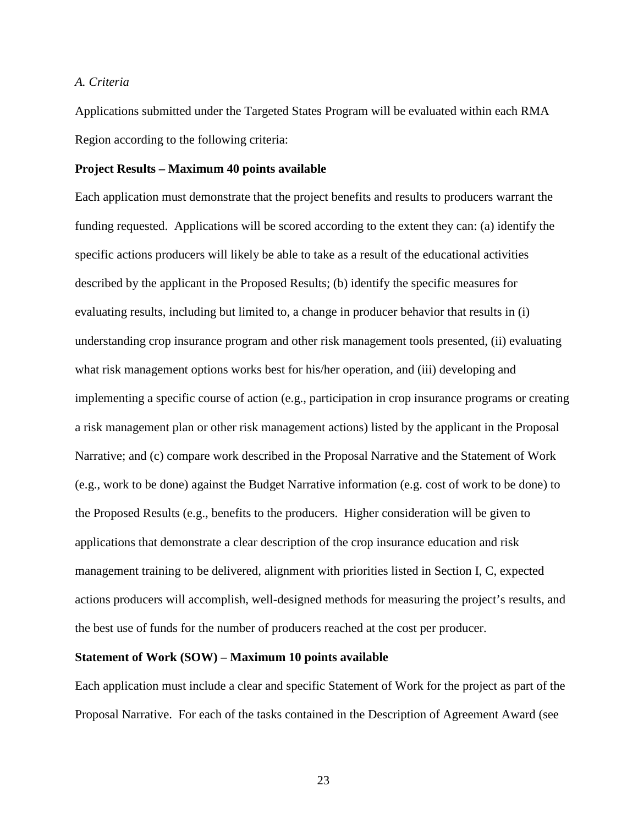## *A. Criteria*

Applications submitted under the Targeted States Program will be evaluated within each RMA Region according to the following criteria:

## **Project Results – Maximum 40 points available**

Each application must demonstrate that the project benefits and results to producers warrant the funding requested. Applications will be scored according to the extent they can: (a) identify the specific actions producers will likely be able to take as a result of the educational activities described by the applicant in the Proposed Results; (b) identify the specific measures for evaluating results, including but limited to, a change in producer behavior that results in (i) understanding crop insurance program and other risk management tools presented, (ii) evaluating what risk management options works best for his/her operation, and (iii) developing and implementing a specific course of action (e.g., participation in crop insurance programs or creating a risk management plan or other risk management actions) listed by the applicant in the Proposal Narrative; and (c) compare work described in the Proposal Narrative and the Statement of Work (e.g., work to be done) against the Budget Narrative information (e.g. cost of work to be done) to the Proposed Results (e.g., benefits to the producers. Higher consideration will be given to applications that demonstrate a clear description of the crop insurance education and risk management training to be delivered, alignment with priorities listed in Section I, C, expected actions producers will accomplish, well-designed methods for measuring the project's results, and the best use of funds for the number of producers reached at the cost per producer.

# **Statement of Work (SOW) – Maximum 10 points available**

Each application must include a clear and specific Statement of Work for the project as part of the Proposal Narrative. For each of the tasks contained in the Description of Agreement Award (see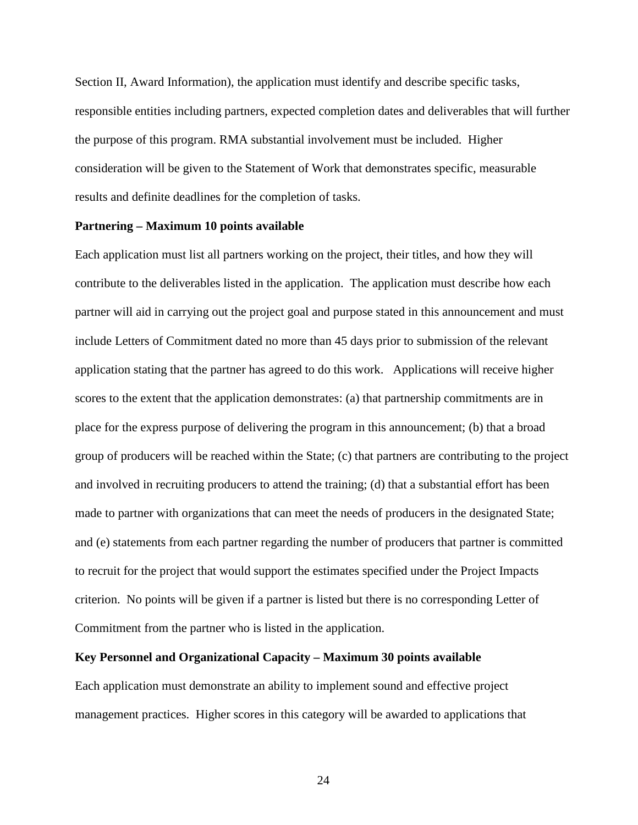Section II, Award Information), the application must identify and describe specific tasks, responsible entities including partners, expected completion dates and deliverables that will further the purpose of this program. RMA substantial involvement must be included. Higher consideration will be given to the Statement of Work that demonstrates specific, measurable results and definite deadlines for the completion of tasks.

## **Partnering – Maximum 10 points available**

Each application must list all partners working on the project, their titles, and how they will contribute to the deliverables listed in the application. The application must describe how each partner will aid in carrying out the project goal and purpose stated in this announcement and must include Letters of Commitment dated no more than 45 days prior to submission of the relevant application stating that the partner has agreed to do this work. Applications will receive higher scores to the extent that the application demonstrates: (a) that partnership commitments are in place for the express purpose of delivering the program in this announcement; (b) that a broad group of producers will be reached within the State; (c) that partners are contributing to the project and involved in recruiting producers to attend the training; (d) that a substantial effort has been made to partner with organizations that can meet the needs of producers in the designated State; and (e) statements from each partner regarding the number of producers that partner is committed to recruit for the project that would support the estimates specified under the Project Impacts criterion. No points will be given if a partner is listed but there is no corresponding Letter of Commitment from the partner who is listed in the application.

#### **Key Personnel and Organizational Capacity – Maximum 30 points available**

Each application must demonstrate an ability to implement sound and effective project management practices. Higher scores in this category will be awarded to applications that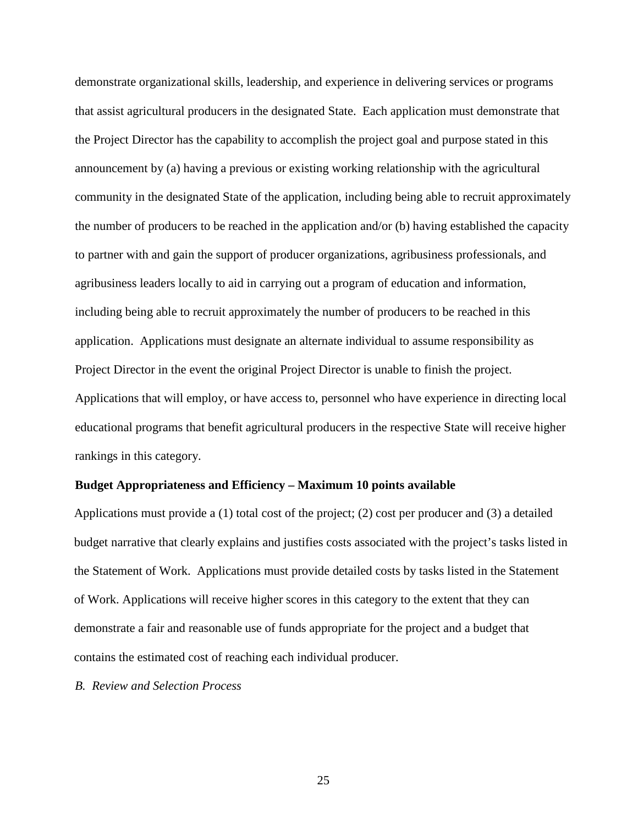demonstrate organizational skills, leadership, and experience in delivering services or programs that assist agricultural producers in the designated State. Each application must demonstrate that the Project Director has the capability to accomplish the project goal and purpose stated in this announcement by (a) having a previous or existing working relationship with the agricultural community in the designated State of the application, including being able to recruit approximately the number of producers to be reached in the application and/or (b) having established the capacity to partner with and gain the support of producer organizations, agribusiness professionals, and agribusiness leaders locally to aid in carrying out a program of education and information, including being able to recruit approximately the number of producers to be reached in this application. Applications must designate an alternate individual to assume responsibility as Project Director in the event the original Project Director is unable to finish the project. Applications that will employ, or have access to, personnel who have experience in directing local educational programs that benefit agricultural producers in the respective State will receive higher rankings in this category.

### **Budget Appropriateness and Efficiency – Maximum 10 points available**

Applications must provide a (1) total cost of the project; (2) cost per producer and (3) a detailed budget narrative that clearly explains and justifies costs associated with the project's tasks listed in the Statement of Work. Applications must provide detailed costs by tasks listed in the Statement of Work. Applications will receive higher scores in this category to the extent that they can demonstrate a fair and reasonable use of funds appropriate for the project and a budget that contains the estimated cost of reaching each individual producer.

*B. Review and Selection Process*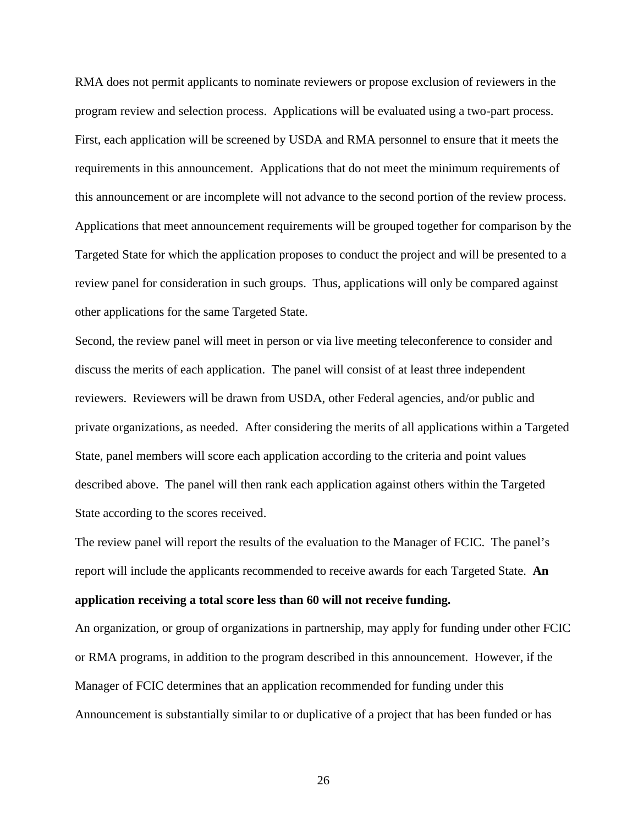RMA does not permit applicants to nominate reviewers or propose exclusion of reviewers in the program review and selection process. Applications will be evaluated using a two-part process. First, each application will be screened by USDA and RMA personnel to ensure that it meets the requirements in this announcement. Applications that do not meet the minimum requirements of this announcement or are incomplete will not advance to the second portion of the review process. Applications that meet announcement requirements will be grouped together for comparison by the Targeted State for which the application proposes to conduct the project and will be presented to a review panel for consideration in such groups. Thus, applications will only be compared against other applications for the same Targeted State.

Second, the review panel will meet in person or via live meeting teleconference to consider and discuss the merits of each application. The panel will consist of at least three independent reviewers. Reviewers will be drawn from USDA, other Federal agencies, and/or public and private organizations, as needed. After considering the merits of all applications within a Targeted State, panel members will score each application according to the criteria and point values described above. The panel will then rank each application against others within the Targeted State according to the scores received.

The review panel will report the results of the evaluation to the Manager of FCIC. The panel's report will include the applicants recommended to receive awards for each Targeted State. **An application receiving a total score less than 60 will not receive funding.** 

An organization, or group of organizations in partnership, may apply for funding under other FCIC or RMA programs, in addition to the program described in this announcement. However, if the Manager of FCIC determines that an application recommended for funding under this Announcement is substantially similar to or duplicative of a project that has been funded or has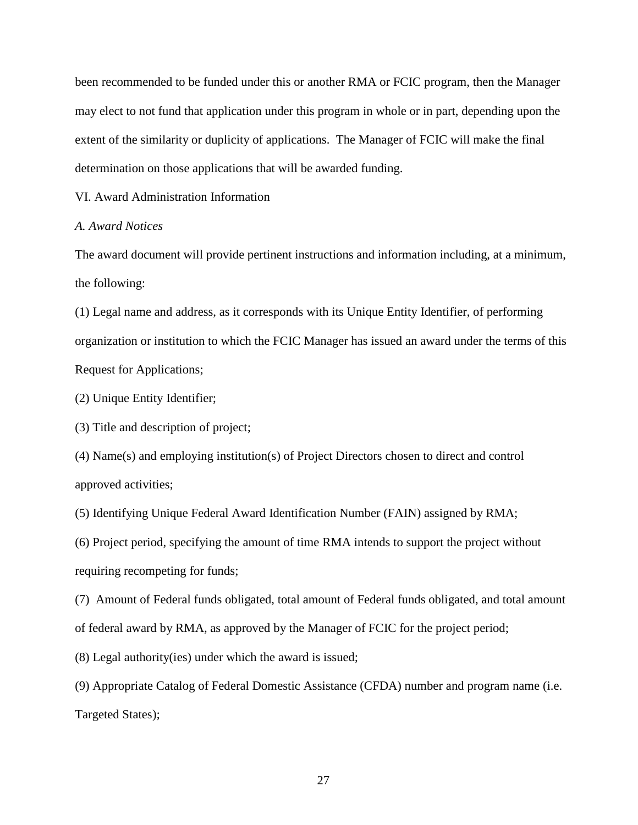been recommended to be funded under this or another RMA or FCIC program, then the Manager may elect to not fund that application under this program in whole or in part, depending upon the extent of the similarity or duplicity of applications. The Manager of FCIC will make the final determination on those applications that will be awarded funding.

VI. Award Administration Information

## *A. Award Notices*

The award document will provide pertinent instructions and information including, at a minimum, the following:

(1) Legal name and address, as it corresponds with its Unique Entity Identifier, of performing organization or institution to which the FCIC Manager has issued an award under the terms of this Request for Applications;

(2) Unique Entity Identifier;

(3) Title and description of project;

(4) Name(s) and employing institution(s) of Project Directors chosen to direct and control approved activities;

(5) Identifying Unique Federal Award Identification Number (FAIN) assigned by RMA;

(6) Project period, specifying the amount of time RMA intends to support the project without requiring recompeting for funds;

(7) Amount of Federal funds obligated, total amount of Federal funds obligated, and total amount of federal award by RMA, as approved by the Manager of FCIC for the project period;

(8) Legal authority(ies) under which the award is issued;

(9) Appropriate Catalog of Federal Domestic Assistance (CFDA) number and program name (i.e. Targeted States);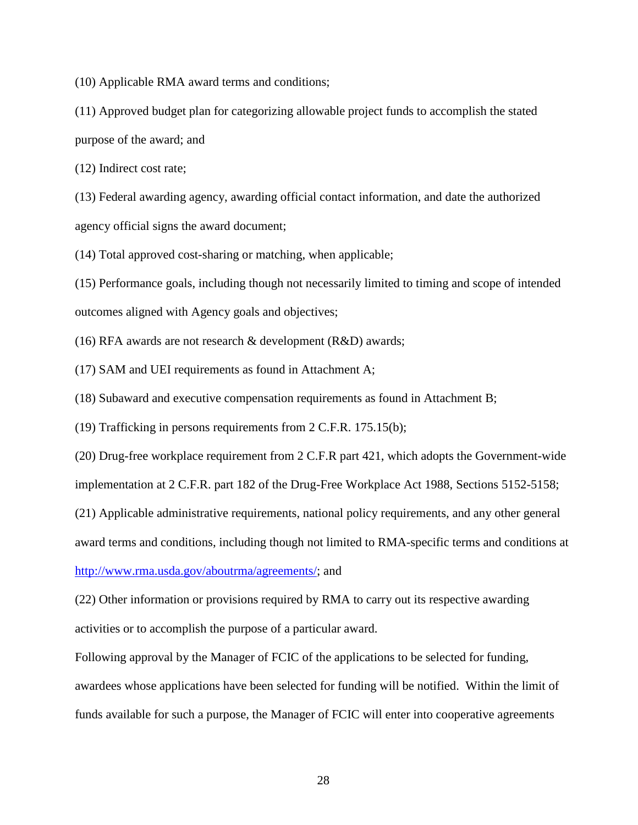(10) Applicable RMA award terms and conditions;

(11) Approved budget plan for categorizing allowable project funds to accomplish the stated purpose of the award; and

(12) Indirect cost rate;

(13) Federal awarding agency, awarding official contact information, and date the authorized agency official signs the award document;

(14) Total approved cost-sharing or matching, when applicable;

(15) Performance goals, including though not necessarily limited to timing and scope of intended outcomes aligned with Agency goals and objectives;

(16) RFA awards are not research  $\&$  development (R $&$ D) awards;

(17) SAM and UEI requirements as found in Attachment A;

(18) Subaward and executive compensation requirements as found in Attachment B;

(19) Trafficking in persons requirements from 2 C.F.R. 175.15(b);

(20) Drug-free workplace requirement from 2 C.F.R part 421, which adopts the Government-wide

implementation at 2 C.F.R. part 182 of the Drug-Free Workplace Act 1988, Sections 5152-5158;

(21) Applicable administrative requirements, national policy requirements, and any other general

award terms and conditions, including though not limited to RMA-specific terms and conditions at

[http://www.rma.usda.gov/aboutrma/agreements/;](http://www.rma.usda.gov/aboutrma/agreements/) and

(22) Other information or provisions required by RMA to carry out its respective awarding activities or to accomplish the purpose of a particular award.

Following approval by the Manager of FCIC of the applications to be selected for funding, awardees whose applications have been selected for funding will be notified. Within the limit of funds available for such a purpose, the Manager of FCIC will enter into cooperative agreements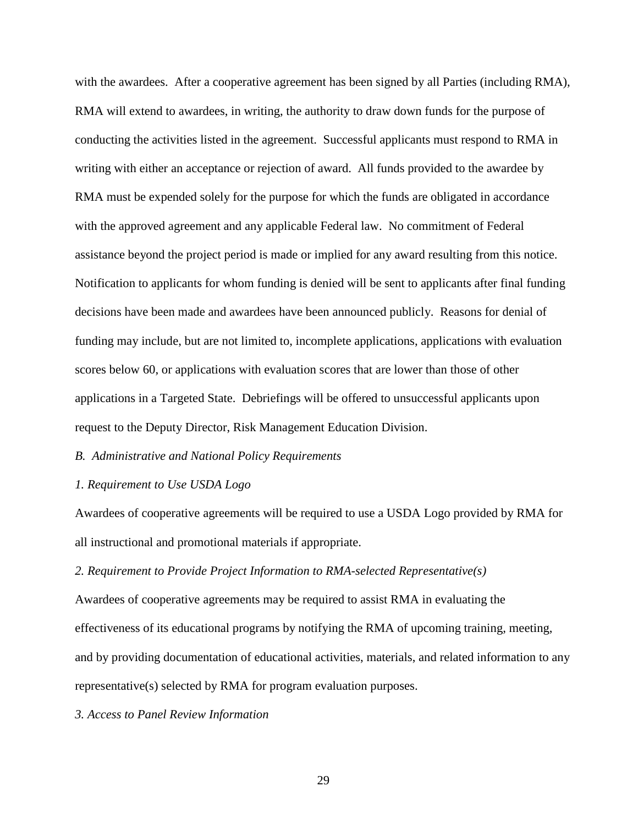with the awardees. After a cooperative agreement has been signed by all Parties (including RMA), RMA will extend to awardees, in writing, the authority to draw down funds for the purpose of conducting the activities listed in the agreement. Successful applicants must respond to RMA in writing with either an acceptance or rejection of award. All funds provided to the awardee by RMA must be expended solely for the purpose for which the funds are obligated in accordance with the approved agreement and any applicable Federal law. No commitment of Federal assistance beyond the project period is made or implied for any award resulting from this notice. Notification to applicants for whom funding is denied will be sent to applicants after final funding decisions have been made and awardees have been announced publicly. Reasons for denial of funding may include, but are not limited to, incomplete applications, applications with evaluation scores below 60, or applications with evaluation scores that are lower than those of other applications in a Targeted State. Debriefings will be offered to unsuccessful applicants upon request to the Deputy Director, Risk Management Education Division.

### *B. Administrative and National Policy Requirements*

## *1. Requirement to Use USDA Logo*

Awardees of cooperative agreements will be required to use a USDA Logo provided by RMA for all instructional and promotional materials if appropriate.

*2. Requirement to Provide Project Information to RMA-selected Representative(s)*

Awardees of cooperative agreements may be required to assist RMA in evaluating the effectiveness of its educational programs by notifying the RMA of upcoming training, meeting, and by providing documentation of educational activities, materials, and related information to any representative(s) selected by RMA for program evaluation purposes.

*3. Access to Panel Review Information*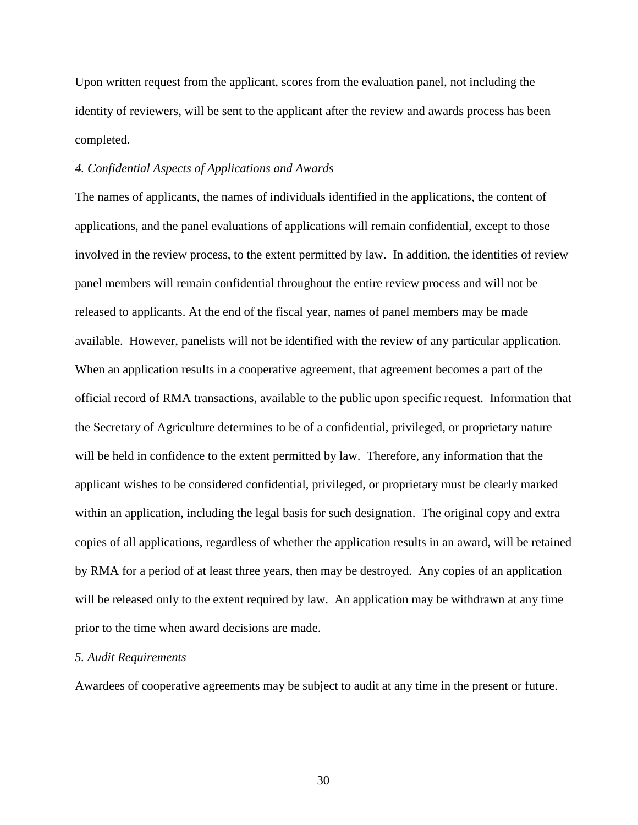Upon written request from the applicant, scores from the evaluation panel, not including the identity of reviewers, will be sent to the applicant after the review and awards process has been completed.

## *4. Confidential Aspects of Applications and Awards*

The names of applicants, the names of individuals identified in the applications, the content of applications, and the panel evaluations of applications will remain confidential, except to those involved in the review process, to the extent permitted by law. In addition, the identities of review panel members will remain confidential throughout the entire review process and will not be released to applicants. At the end of the fiscal year, names of panel members may be made available. However, panelists will not be identified with the review of any particular application. When an application results in a cooperative agreement, that agreement becomes a part of the official record of RMA transactions, available to the public upon specific request. Information that the Secretary of Agriculture determines to be of a confidential, privileged, or proprietary nature will be held in confidence to the extent permitted by law. Therefore, any information that the applicant wishes to be considered confidential, privileged, or proprietary must be clearly marked within an application, including the legal basis for such designation. The original copy and extra copies of all applications, regardless of whether the application results in an award, will be retained by RMA for a period of at least three years, then may be destroyed. Any copies of an application will be released only to the extent required by law. An application may be withdrawn at any time prior to the time when award decisions are made.

#### *5. Audit Requirements*

Awardees of cooperative agreements may be subject to audit at any time in the present or future.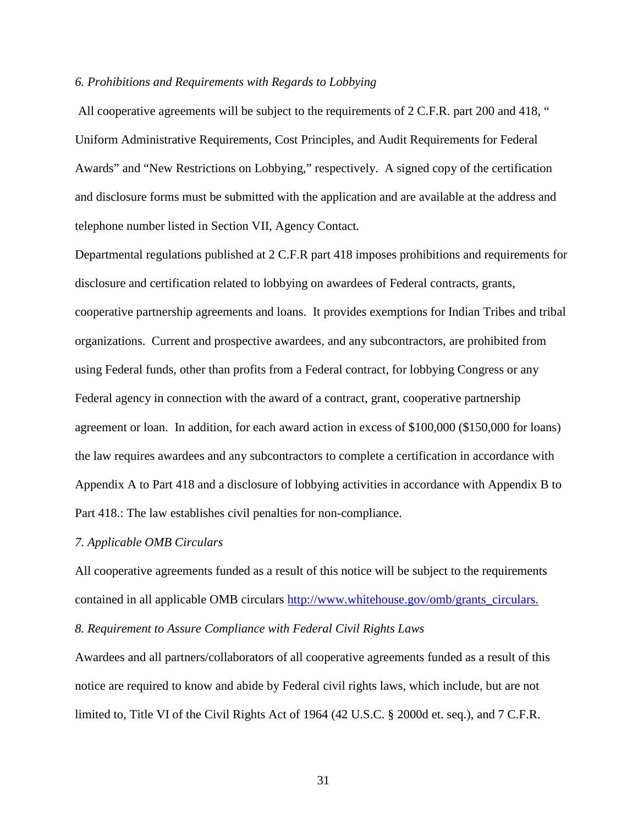#### *6. Prohibitions and Requirements with Regards to Lobbying*

All cooperative agreements will be subject to the requirements of 2 C.F.R. part 200 and 418, " Uniform Administrative Requirements, Cost Principles, and Audit Requirements for Federal Awards" and "New Restrictions on Lobbying," respectively. A signed copy of the certification and disclosure forms must be submitted with the application and are available at the address and telephone number listed in Section VII, Agency Contact.

Departmental regulations published at 2 C.F.R part 418 imposes prohibitions and requirements for disclosure and certification related to lobbying on awardees of Federal contracts, grants, cooperative partnership agreements and loans. It provides exemptions for Indian Tribes and tribal organizations. Current and prospective awardees, and any subcontractors, are prohibited from using Federal funds, other than profits from a Federal contract, for lobbying Congress or any Federal agency in connection with the award of a contract, grant, cooperative partnership agreement or loan. In addition, for each award action in excess of \$100,000 (\$150,000 for loans) the law requires awardees and any subcontractors to complete a certification in accordance with Appendix A to Part 418 and a disclosure of lobbying activities in accordance with Appendix B to Part 418.: The law establishes civil penalties for non-compliance.

#### *7. Applicable OMB Circulars*

All cooperative agreements funded as a result of this notice will be subject to the requirements contained in all applicable OMB circulars [http://www.whitehouse.gov/omb/grants\\_circulars.](http://www.whitehouse.gov/omb/grants_circulars)

# *8. Requirement to Assure Compliance with Federal Civil Rights Laws*

Awardees and all partners/collaborators of all cooperative agreements funded as a result of this notice are required to know and abide by Federal civil rights laws, which include, but are not limited to, Title VI of the Civil Rights Act of 1964 (42 U.S.C. § 2000d et. seq.), and 7 C.F.R.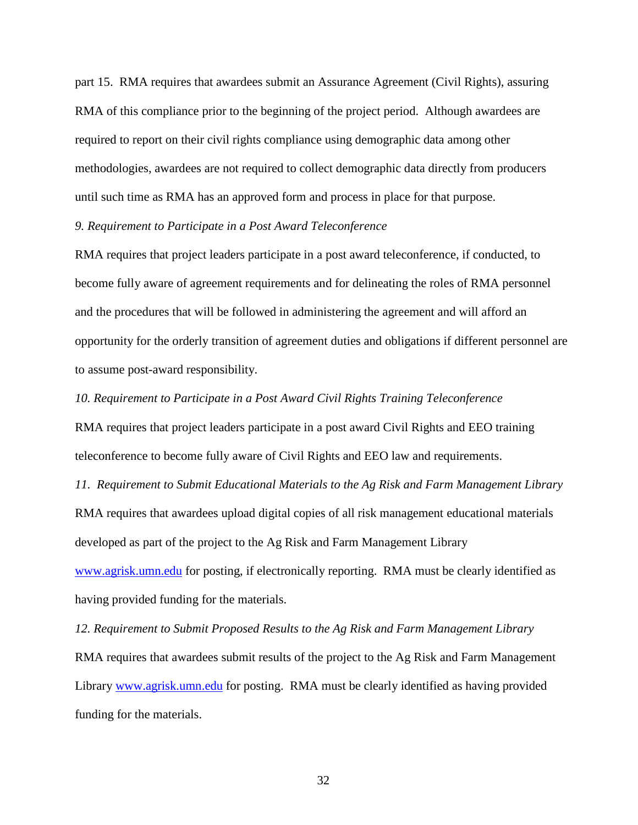part 15. RMA requires that awardees submit an Assurance Agreement (Civil Rights), assuring RMA of this compliance prior to the beginning of the project period. Although awardees are required to report on their civil rights compliance using demographic data among other methodologies, awardees are not required to collect demographic data directly from producers until such time as RMA has an approved form and process in place for that purpose.

### *9. Requirement to Participate in a Post Award Teleconference*

RMA requires that project leaders participate in a post award teleconference, if conducted, to become fully aware of agreement requirements and for delineating the roles of RMA personnel and the procedures that will be followed in administering the agreement and will afford an opportunity for the orderly transition of agreement duties and obligations if different personnel are to assume post-award responsibility.

### *10. Requirement to Participate in a Post Award Civil Rights Training Teleconference*

RMA requires that project leaders participate in a post award Civil Rights and EEO training teleconference to become fully aware of Civil Rights and EEO law and requirements.

*11. Requirement to Submit Educational Materials to the Ag Risk and Farm Management Library* RMA requires that awardees upload digital copies of all risk management educational materials developed as part of the project to the Ag Risk and Farm Management Library [www.agrisk.umn.edu](http://www.agrisk.umn.edu/) for posting, if electronically reporting. RMA must be clearly identified as having provided funding for the materials.

*12. Requirement to Submit Proposed Results to the Ag Risk and Farm Management Library* RMA requires that awardees submit results of the project to the Ag Risk and Farm Management Library [www.agrisk.umn.edu](http://www.agrisk.umn.edu/) for posting. RMA must be clearly identified as having provided funding for the materials.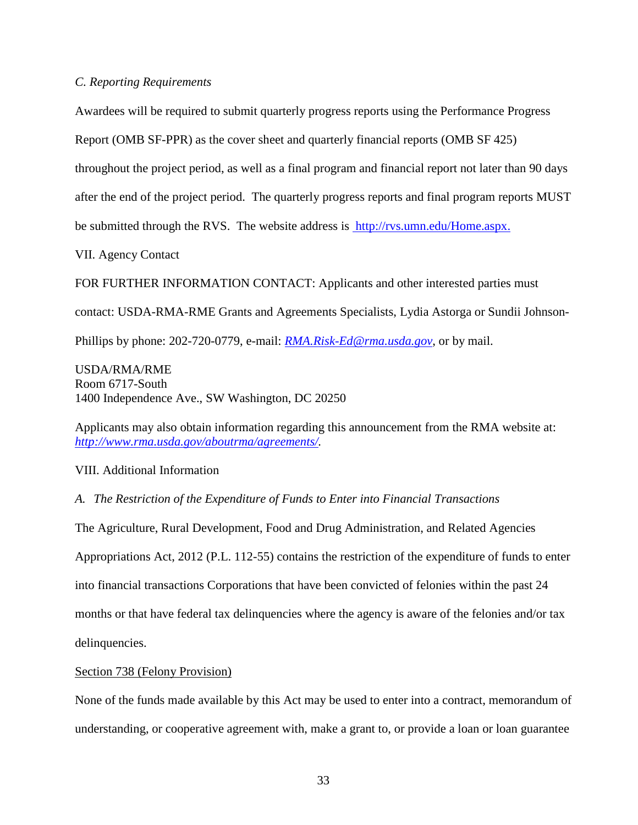# *C. Reporting Requirements*

Awardees will be required to submit quarterly progress reports using the Performance Progress

Report (OMB SF-PPR) as the cover sheet and quarterly financial reports (OMB SF 425)

throughout the project period, as well as a final program and financial report not later than 90 days

after the end of the project period. The quarterly progress reports and final program reports MUST

be submitted through the RVS. The website address is http://rvs.umn.edu/Home.aspx.

VII. Agency Contact

FOR FURTHER INFORMATION CONTACT: Applicants and other interested parties must

contact: USDA-RMA-RME Grants and Agreements Specialists, Lydia Astorga or Sundii Johnson-

Phillips by phone: 202-720-0779, e-mail: *[RMA.Risk-Ed@rma.usda.gov](mailto:RMA.Risk-Ed@rma.usda.gov)*, or by mail.

USDA/RMA/RME Room 6717-South 1400 Independence Ave., SW Washington, DC 20250

Applicants may also obtain information regarding this announcement from the RMA website at: *[http://www.rma.usda.gov/aboutrma/agreements/.](http://www.rma.usda.gov/aboutrma/agreements/)*

VIII. Additional Information

# *A. The Restriction of the Expenditure of Funds to Enter into Financial Transactions*

The Agriculture, Rural Development, Food and Drug Administration, and Related Agencies Appropriations Act, 2012 (P.L. 112-55) contains the restriction of the expenditure of funds to enter into financial transactions Corporations that have been convicted of felonies within the past 24 months or that have federal tax delinquencies where the agency is aware of the felonies and/or tax delinquencies.

# Section 738 (Felony Provision)

None of the funds made available by this Act may be used to enter into a contract, memorandum of understanding, or cooperative agreement with, make a grant to, or provide a loan or loan guarantee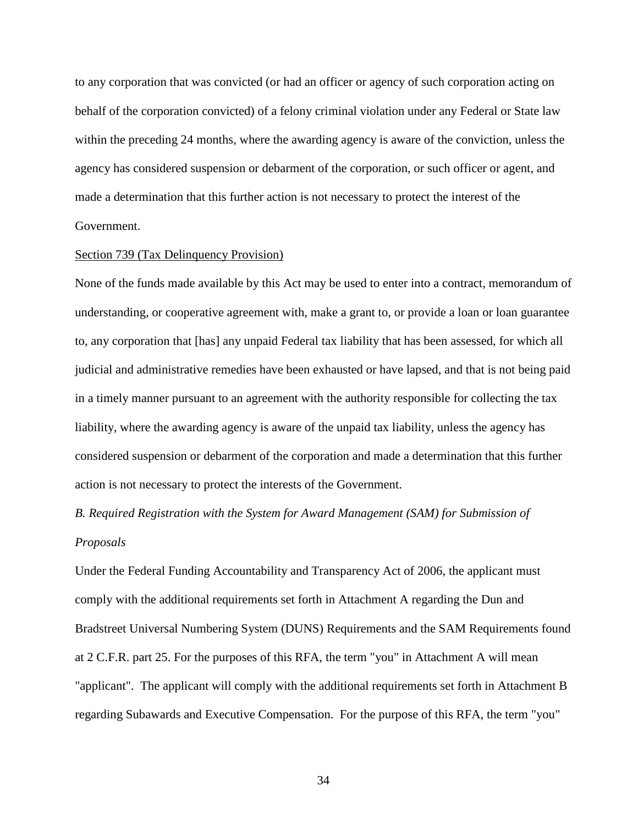to any corporation that was convicted (or had an officer or agency of such corporation acting on behalf of the corporation convicted) of a felony criminal violation under any Federal or State law within the preceding 24 months, where the awarding agency is aware of the conviction, unless the agency has considered suspension or debarment of the corporation, or such officer or agent, and made a determination that this further action is not necessary to protect the interest of the Government.

## Section 739 (Tax Delinquency Provision)

None of the funds made available by this Act may be used to enter into a contract, memorandum of understanding, or cooperative agreement with, make a grant to, or provide a loan or loan guarantee to, any corporation that [has] any unpaid Federal tax liability that has been assessed, for which all judicial and administrative remedies have been exhausted or have lapsed, and that is not being paid in a timely manner pursuant to an agreement with the authority responsible for collecting the tax liability, where the awarding agency is aware of the unpaid tax liability, unless the agency has considered suspension or debarment of the corporation and made a determination that this further action is not necessary to protect the interests of the Government.

# *B. Required Registration with the System for Award Management (SAM) for Submission of Proposals*

Under the Federal Funding Accountability and Transparency Act of 2006, the applicant must comply with the additional requirements set forth in Attachment A regarding the Dun and Bradstreet Universal Numbering System (DUNS) Requirements and the SAM Requirements found at 2 C.F.R. part 25. For the purposes of this RFA, the term "you" in Attachment A will mean "applicant". The applicant will comply with the additional requirements set forth in Attachment B regarding Subawards and Executive Compensation. For the purpose of this RFA, the term "you"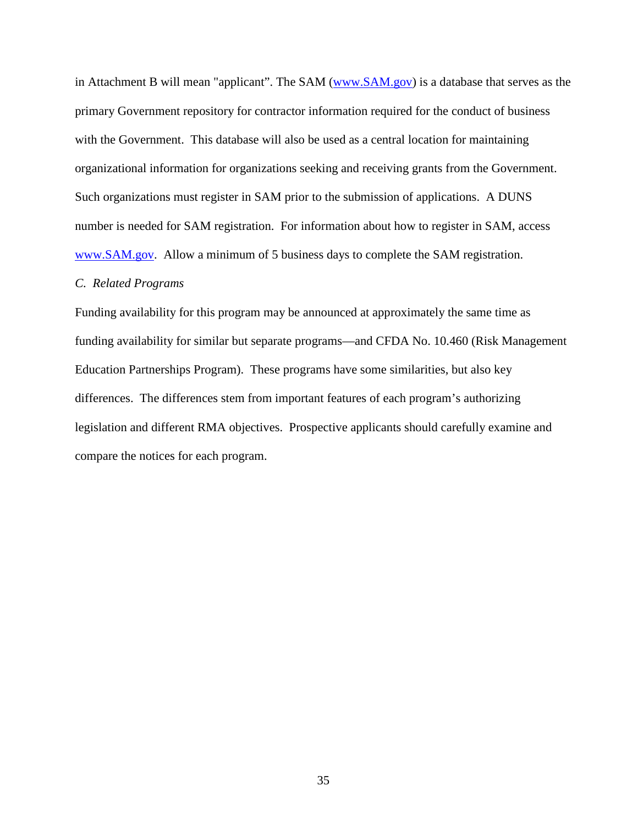in Attachment B will mean "applicant". The SAM [\(www.SAM.gov\)](http://www.sam.gov/) is a database that serves as the primary Government repository for contractor information required for the conduct of business with the Government. This database will also be used as a central location for maintaining organizational information for organizations seeking and receiving grants from the Government. Such organizations must register in SAM prior to the submission of applications. A DUNS number is needed for SAM registration. For information about how to register in SAM, access [www.SAM.gov.](http://www.sam.gov/)Allow a minimum of 5 business days to complete the SAM registration.

## *C. Related Programs*

Funding availability for this program may be announced at approximately the same time as funding availability for similar but separate programs—and CFDA No. 10.460 (Risk Management Education Partnerships Program). These programs have some similarities, but also key differences. The differences stem from important features of each program's authorizing legislation and different RMA objectives. Prospective applicants should carefully examine and compare the notices for each program.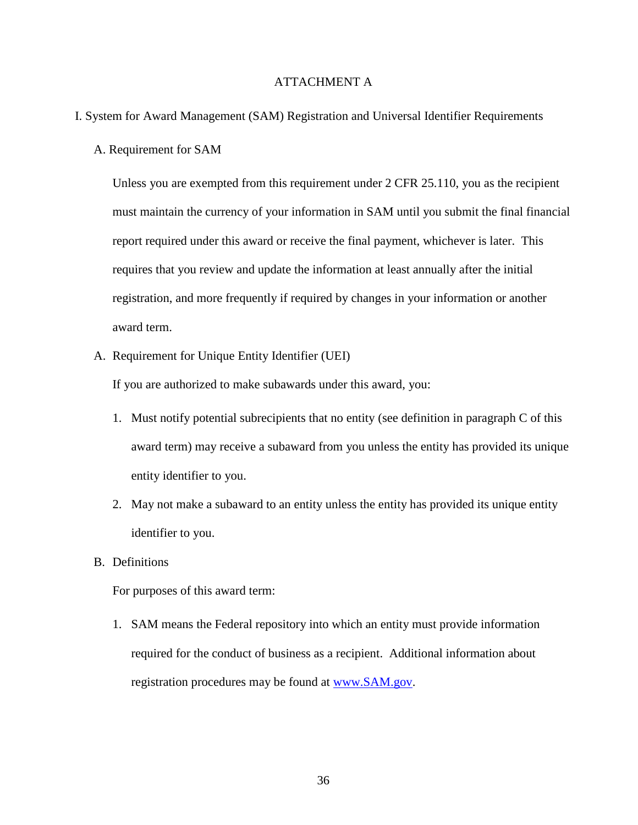# ATTACHMENT A

## I. System for Award Management (SAM) Registration and Universal Identifier Requirements

A. Requirement for SAM

Unless you are exempted from this requirement under 2 CFR 25.110, you as the recipient must maintain the currency of your information in SAM until you submit the final financial report required under this award or receive the final payment, whichever is later. This requires that you review and update the information at least annually after the initial registration, and more frequently if required by changes in your information or another award term.

A. Requirement for Unique Entity Identifier (UEI)

If you are authorized to make subawards under this award, you:

- 1. Must notify potential subrecipients that no entity (see definition in paragraph C of this award term) may receive a subaward from you unless the entity has provided its unique entity identifier to you.
- 2. May not make a subaward to an entity unless the entity has provided its unique entity identifier to you.
- B. Definitions

For purposes of this award term:

1. SAM means the Federal repository into which an entity must provide information required for the conduct of business as a recipient. Additional information about registration procedures may be found at [www.SAM.gov.](http://www.sam.gov/)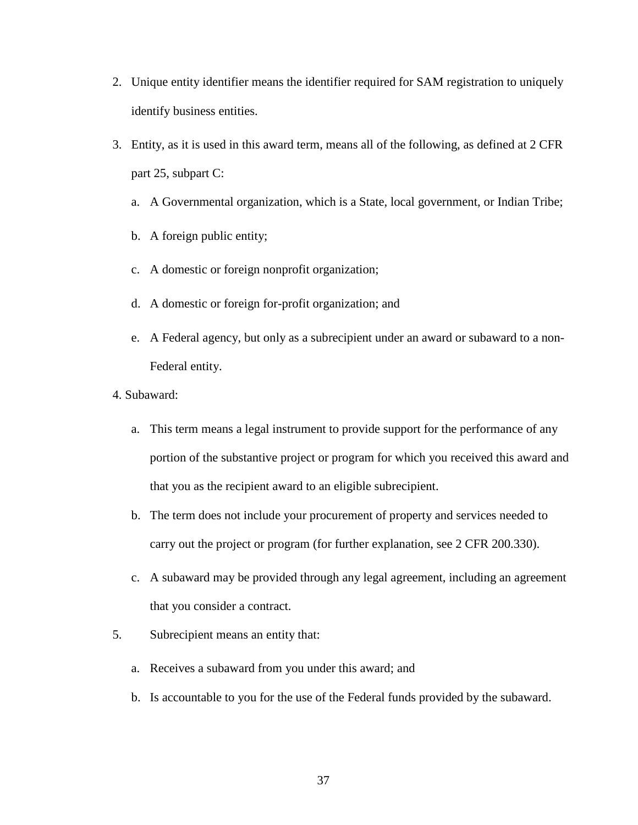- 2. Unique entity identifier means the identifier required for SAM registration to uniquely identify business entities.
- 3. Entity, as it is used in this award term, means all of the following, as defined at 2 CFR part 25, subpart C:
	- a. A Governmental organization, which is a State, local government, or Indian Tribe;
	- b. A foreign public entity;
	- c. A domestic or foreign nonprofit organization;
	- d. A domestic or foreign for-profit organization; and
	- e. A Federal agency, but only as a subrecipient under an award or subaward to a non-Federal entity.
- 4. Subaward:
	- a. This term means a legal instrument to provide support for the performance of any portion of the substantive project or program for which you received this award and that you as the recipient award to an eligible subrecipient.
	- b. The term does not include your procurement of property and services needed to carry out the project or program (for further explanation, see 2 CFR 200.330).
	- c. A subaward may be provided through any legal agreement, including an agreement that you consider a contract.
- 5. Subrecipient means an entity that:
	- a. Receives a subaward from you under this award; and
	- b. Is accountable to you for the use of the Federal funds provided by the subaward.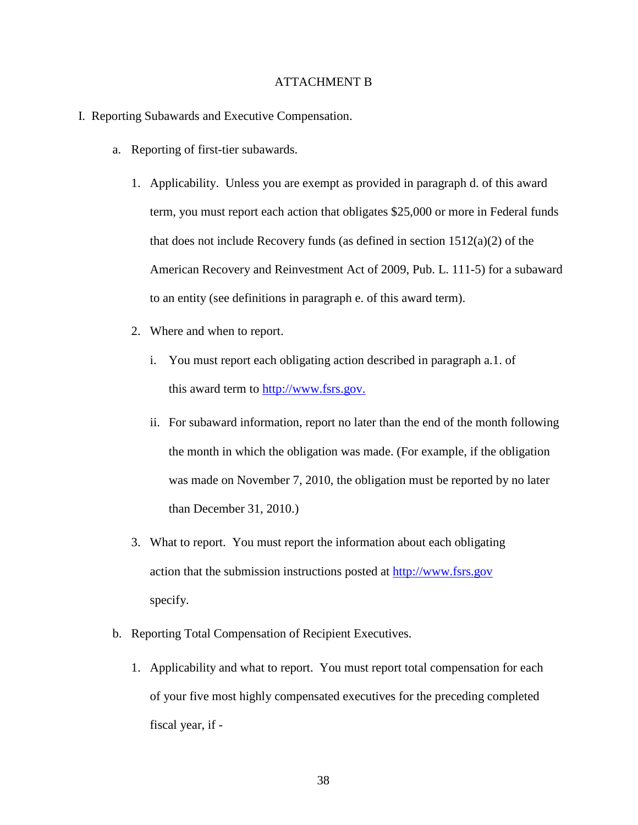## ATTACHMENT B

- I. Reporting Subawards and Executive Compensation.
	- a. Reporting of first-tier subawards.
		- 1. Applicability. Unless you are exempt as provided in paragraph d. of this award term, you must report each action that obligates \$25,000 or more in Federal funds that does not include Recovery funds (as defined in section 1512(a)(2) of the American Recovery and Reinvestment Act of 2009, Pub. L. 111-5) for a subaward to an entity (see definitions in paragraph e. of this award term).
		- 2. Where and when to report.
			- i. You must report each obligating action described in paragraph a.1. of this award term to [http://www.fsrs.gov.](http://www.fsrs.gov/)
			- ii. For subaward information, report no later than the end of the month following the month in which the obligation was made. (For example, if the obligation was made on November 7, 2010, the obligation must be reported by no later than December 31, 2010.)
		- 3. What to report. You must report the information about each obligating action that the submission instructions posted at [http://www.fsrs.gov](http://www.fsrs.gov/) specify.
	- b. Reporting Total Compensation of Recipient Executives.
		- 1. Applicability and what to report. You must report total compensation for each of your five most highly compensated executives for the preceding completed fiscal year, if -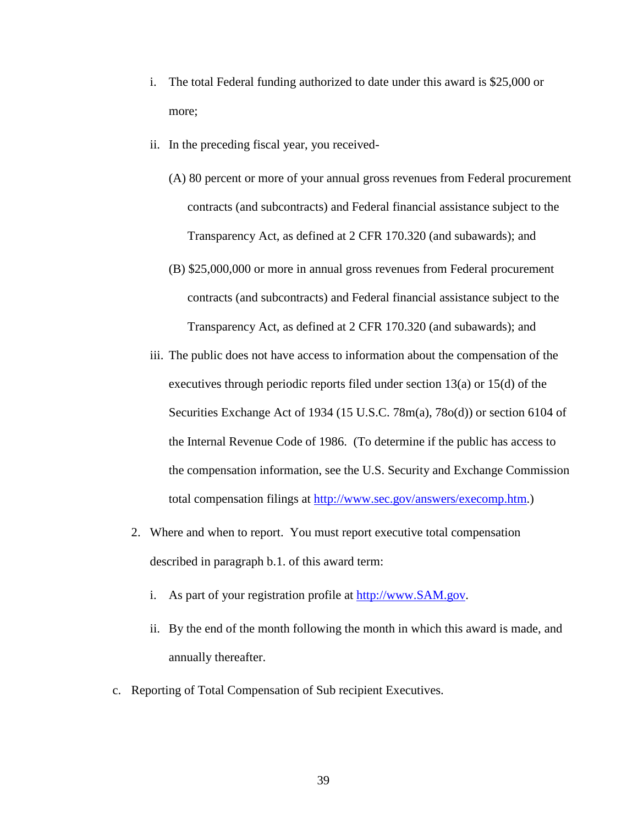- i. The total Federal funding authorized to date under this award is \$25,000 or more;
- ii. In the preceding fiscal year, you received-
	- (A) 80 percent or more of your annual gross revenues from Federal procurement contracts (and subcontracts) and Federal financial assistance subject to the Transparency Act, as defined at 2 CFR 170.320 (and subawards); and
	- (B) \$25,000,000 or more in annual gross revenues from Federal procurement contracts (and subcontracts) and Federal financial assistance subject to the Transparency Act, as defined at 2 CFR 170.320 (and subawards); and
- iii. The public does not have access to information about the compensation of the executives through periodic reports filed under section 13(a) or 15(d) of the Securities Exchange Act of 1934 (15 U.S.C. 78m(a), 78o(d)) or section 6104 of the Internal Revenue Code of 1986. (To determine if the public has access to the compensation information, see the U.S. Security and Exchange Commission total compensation filings at [http://www.sec.gov/answers/execomp.htm.](http://www.sec.gov/answers/execomp.htm))
- 2. Where and when to report. You must report executive total compensation described in paragraph b.1. of this award term:
	- i. As part of your registration profile at [http://www.SAM.gov.](http://www.sam.gov/)
	- ii. By the end of the month following the month in which this award is made, and annually thereafter.
- c. Reporting of Total Compensation of Sub recipient Executives.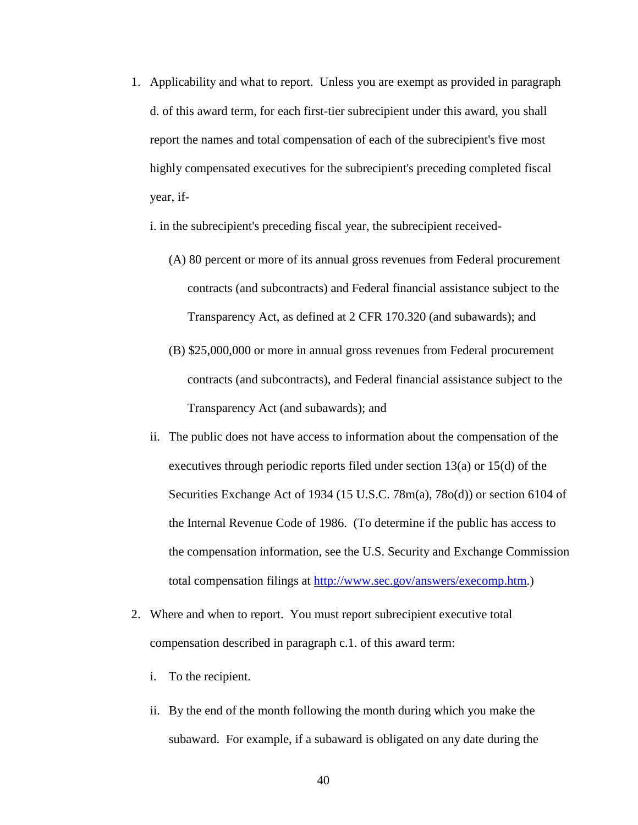1. Applicability and what to report. Unless you are exempt as provided in paragraph d. of this award term, for each first-tier subrecipient under this award, you shall report the names and total compensation of each of the subrecipient's five most highly compensated executives for the subrecipient's preceding completed fiscal year, if-

i. in the subrecipient's preceding fiscal year, the subrecipient received-

- (A) 80 percent or more of its annual gross revenues from Federal procurement contracts (and subcontracts) and Federal financial assistance subject to the Transparency Act, as defined at 2 CFR 170.320 (and subawards); and
- (B) \$25,000,000 or more in annual gross revenues from Federal procurement contracts (and subcontracts), and Federal financial assistance subject to the Transparency Act (and subawards); and
- ii. The public does not have access to information about the compensation of the executives through periodic reports filed under section 13(a) or 15(d) of the Securities Exchange Act of 1934 (15 U.S.C. 78m(a), 78o(d)) or section 6104 of the Internal Revenue Code of 1986. (To determine if the public has access to the compensation information, see the U.S. Security and Exchange Commission total compensation filings at [http://www.sec.gov/answers/execomp.htm.](http://www.sec.gov/answers/execomp.htm))
- 2. Where and when to report. You must report subrecipient executive total compensation described in paragraph c.1. of this award term:
	- i. To the recipient.
	- ii. By the end of the month following the month during which you make the subaward. For example, if a subaward is obligated on any date during the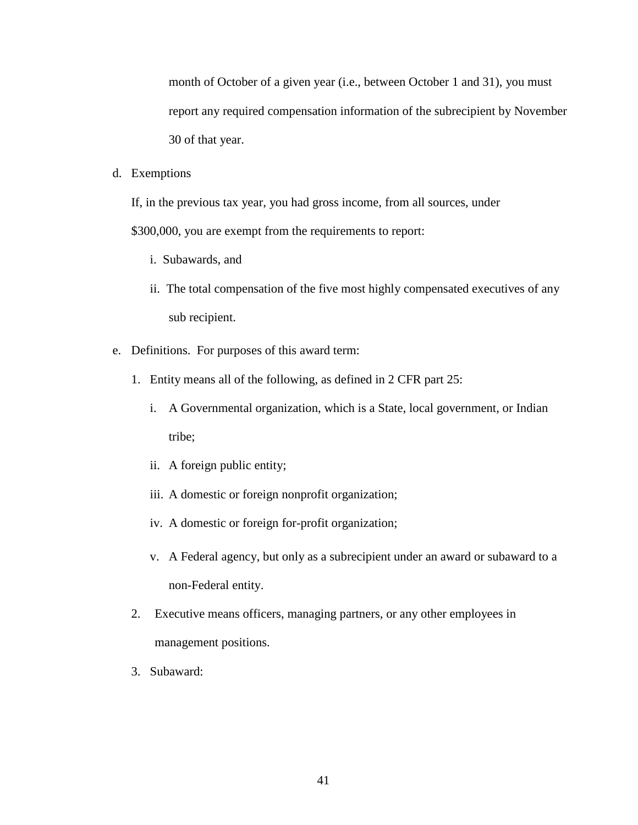month of October of a given year (i.e., between October 1 and 31), you must report any required compensation information of the subrecipient by November 30 of that year.

d. Exemptions

If, in the previous tax year, you had gross income, from all sources, under

\$300,000, you are exempt from the requirements to report:

- i. Subawards, and
- ii. The total compensation of the five most highly compensated executives of any sub recipient.
- e. Definitions. For purposes of this award term:
	- 1. Entity means all of the following, as defined in 2 CFR part 25:
		- i. A Governmental organization, which is a State, local government, or Indian tribe;
		- ii. A foreign public entity;
		- iii. A domestic or foreign nonprofit organization;
		- iv. A domestic or foreign for-profit organization;
		- v. A Federal agency, but only as a subrecipient under an award or subaward to a non-Federal entity.
	- 2. Executive means officers, managing partners, or any other employees in management positions.
	- 3. Subaward: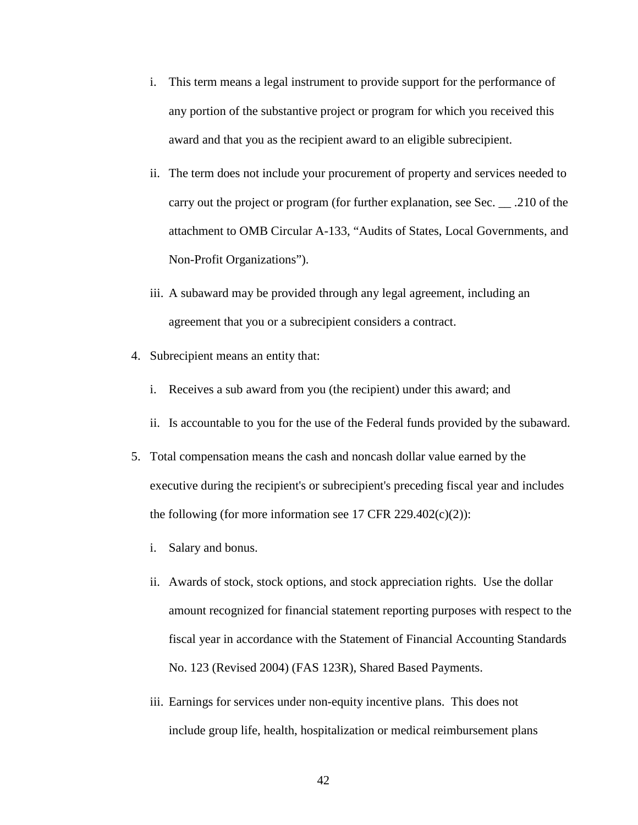- i. This term means a legal instrument to provide support for the performance of any portion of the substantive project or program for which you received this award and that you as the recipient award to an eligible subrecipient.
- ii. The term does not include your procurement of property and services needed to carry out the project or program (for further explanation, see Sec. \_\_ .210 of the attachment to OMB Circular A-133, "Audits of States, Local Governments, and Non-Profit Organizations").
- iii. A subaward may be provided through any legal agreement, including an agreement that you or a subrecipient considers a contract.
- 4. Subrecipient means an entity that:
	- i. Receives a sub award from you (the recipient) under this award; and
	- ii. Is accountable to you for the use of the Federal funds provided by the subaward.
- 5. Total compensation means the cash and noncash dollar value earned by the executive during the recipient's or subrecipient's preceding fiscal year and includes the following (for more information see 17 CFR 229.402 $(c)(2)$ ):
	- i. Salary and bonus.
	- ii. Awards of stock, stock options, and stock appreciation rights. Use the dollar amount recognized for financial statement reporting purposes with respect to the fiscal year in accordance with the Statement of Financial Accounting Standards No. 123 (Revised 2004) (FAS 123R), Shared Based Payments.
	- iii. Earnings for services under non-equity incentive plans. This does not include group life, health, hospitalization or medical reimbursement plans